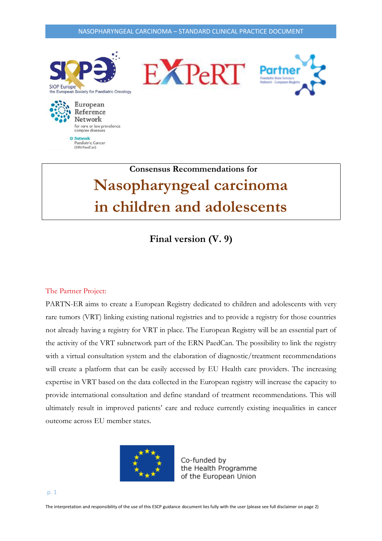

 **Consensus Recommendations for Nasopharyngeal carcinoma in children and adolescents**

**Final version (V. 9)**

#### The Partner Project:

(ERN PaedCan)

PARTN-ER aims to create a European Registry dedicated to children and adolescents with very rare tumors (VRT) linking existing national registries and to provide a registry for those countries not already having a registry for VRT in place. The European Registry will be an essential part of the activity of the VRT subnetwork part of the ERN PaedCan. The possibility to link the registry with a virtual consultation system and the elaboration of diagnostic/treatment recommendations will create a platform that can be easily accessed by EU Health care providers. The increasing expertise in VRT based on the data collected in the European registry will increase the capacity to provide international consultation and define standard of treatment recommendations. This will ultimately result in improved patients' care and reduce currently existing inequalities in cancer outcome across EU member states.



Co-funded by the Health Programme of the European Union

The interpretation and responsibility of the use of this ESCP guidance document lies fully with the user (please see full disclaimer on page 2)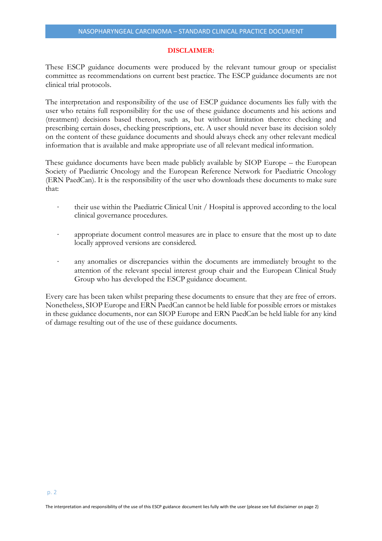#### **DISCLAIMER:**

These ESCP guidance documents were produced by the relevant tumour group or specialist committee as recommendations on current best practice. The ESCP guidance documents are not clinical trial protocols.

The interpretation and responsibility of the use of ESCP guidance documents lies fully with the user who retains full responsibility for the use of these guidance documents and his actions and (treatment) decisions based thereon, such as, but without limitation thereto: checking and prescribing certain doses, checking prescriptions, etc. A user should never base its decision solely on the content of these guidance documents and should always check any other relevant medical information that is available and make appropriate use of all relevant medical information.

These guidance documents have been made publicly available by SIOP Europe – the European Society of Paediatric Oncology and the European Reference Network for Paediatric Oncology (ERN PaedCan). It is the responsibility of the user who downloads these documents to make sure that:

- their use within the Paediatric Clinical Unit / Hospital is approved according to the local clinical governance procedures.
- appropriate document control measures are in place to ensure that the most up to date locally approved versions are considered.
- any anomalies or discrepancies within the documents are immediately brought to the attention of the relevant special interest group chair and the European Clinical Study Group who has developed the ESCP guidance document.

Every care has been taken whilst preparing these documents to ensure that they are free of errors. Nonetheless, SIOP Europe and ERN PaedCan cannot be held liable for possible errors or mistakes in these guidance documents, nor can SIOP Europe and ERN PaedCan be held liable for any kind of damage resulting out of the use of these guidance documents.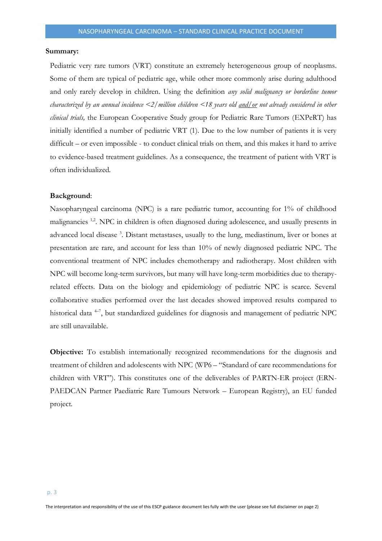#### **Summary:**

Pediatric very rare tumors (VRT) constitute an extremely heterogeneous group of neoplasms. Some of them are typical of pediatric age, while other more commonly arise during adulthood and only rarely develop in children. Using the definition *any solid malignancy or borderline tumor characterized by an annual incidence <2/million children <18 years old and/or not already considered in other clinical trials,* the European Cooperative Study group for Pediatric Rare Tumors (EXPeRT) has initially identified a number of pediatric VRT (1). Due to the low number of patients it is very difficult – or even impossible - to conduct clinical trials on them, and this makes it hard to arrive to evidence-based treatment guidelines. As a consequence, the treatment of patient with VRT is often individualized.

#### **Background**:

Nasopharyngeal carcinoma (NPC) is a rare pediatric tumor, accounting for 1% of childhood malignancies <sup>1,2</sup>. NPC in children is often diagnosed during adolescence, and usually presents in advanced local disease<sup>3</sup>. Distant metastases, usually to the lung, mediastinum, liver or bones at presentation are rare, and account for less than 10% of newly diagnosed pediatric NPC. The conventional treatment of NPC includes chemotherapy and radiotherapy. Most children with NPC will become long-term survivors, but many will have long-term morbidities due to therapyrelated effects. Data on the biology and epidemiology of pediatric NPC is scarce. Several collaborative studies performed over the last decades showed improved results compared to historical data <sup>4-7</sup>, but standardized guidelines for diagnosis and management of pediatric NPC are still unavailable.

**Objective:** To establish internationally recognized recommendations for the diagnosis and treatment of children and adolescents with NPC (WP6 – "Standard of care recommendations for children with VRT"). This constitutes one of the deliverables of PARTN-ER project (ERN-PAEDCAN Partner Paediatric Rare Tumours Network – European Registry), an EU funded project.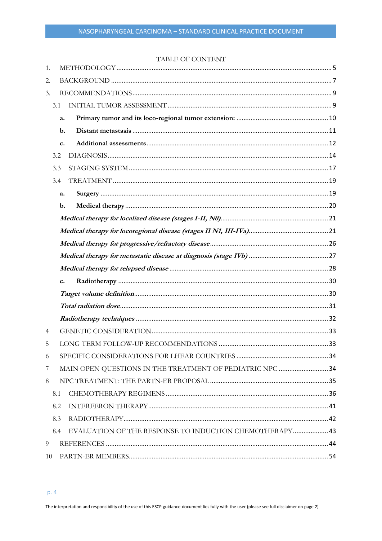# TABLE OF CONTENT

| 1. |               |                                                           |  |  |  |  |  |  |
|----|---------------|-----------------------------------------------------------|--|--|--|--|--|--|
| 2. |               |                                                           |  |  |  |  |  |  |
| 3. |               |                                                           |  |  |  |  |  |  |
|    | 3.1           |                                                           |  |  |  |  |  |  |
|    | a.            |                                                           |  |  |  |  |  |  |
|    | $\mathbf b$ . |                                                           |  |  |  |  |  |  |
|    | c.            |                                                           |  |  |  |  |  |  |
|    | 3.2           |                                                           |  |  |  |  |  |  |
|    | 3.3           |                                                           |  |  |  |  |  |  |
|    | 3.4           |                                                           |  |  |  |  |  |  |
|    | a.            |                                                           |  |  |  |  |  |  |
|    | $\mathbf b$ . |                                                           |  |  |  |  |  |  |
|    |               |                                                           |  |  |  |  |  |  |
|    |               |                                                           |  |  |  |  |  |  |
|    |               |                                                           |  |  |  |  |  |  |
|    |               |                                                           |  |  |  |  |  |  |
|    |               |                                                           |  |  |  |  |  |  |
|    | c.            |                                                           |  |  |  |  |  |  |
|    |               |                                                           |  |  |  |  |  |  |
|    |               |                                                           |  |  |  |  |  |  |
|    |               |                                                           |  |  |  |  |  |  |
| 4  |               |                                                           |  |  |  |  |  |  |
| 5  |               |                                                           |  |  |  |  |  |  |
| 6  |               |                                                           |  |  |  |  |  |  |
| 7  |               | MAIN OPEN QUESTIONS IN THE TREATMENT OF PEDIATRIC NPC  34 |  |  |  |  |  |  |
| 8  |               |                                                           |  |  |  |  |  |  |
|    | 8.1           |                                                           |  |  |  |  |  |  |
|    | 8.2           |                                                           |  |  |  |  |  |  |
|    | 8.3           |                                                           |  |  |  |  |  |  |
|    | 8.4           | EVALUATION OF THE RESPONSE TO INDUCTION CHEMOTHERAPY 43   |  |  |  |  |  |  |
| 9  |               |                                                           |  |  |  |  |  |  |
| 10 |               |                                                           |  |  |  |  |  |  |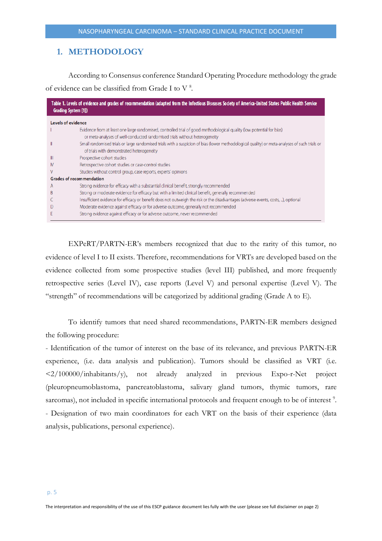# <span id="page-4-0"></span>**1. METHODOLOGY**

According to Consensus conference Standard Operating Procedure methodology the grade of evidence can be classified from Grade I to V<sup>8</sup>.

| Table 1. Levels of evidence and grades of recommendation (adapted from the Infectious Diseases Society of America-United States Public Health Service<br><b>Grading System [1])</b> |                                                                                                                                                                                                     |  |  |  |  |  |
|-------------------------------------------------------------------------------------------------------------------------------------------------------------------------------------|-----------------------------------------------------------------------------------------------------------------------------------------------------------------------------------------------------|--|--|--|--|--|
|                                                                                                                                                                                     | <b>Levels of evidence</b>                                                                                                                                                                           |  |  |  |  |  |
|                                                                                                                                                                                     | Evidence from at least one large randomised, controlled trial of good methodological quality (low potential for bias)<br>or meta-analyses of well-conducted randomised trials without heterogeneity |  |  |  |  |  |
|                                                                                                                                                                                     | Small randomised trials or large randomised trials with a suspicion of bias (lower methodological quality) or meta-analyses of such trials or<br>of trials with demonstrated heterogeneity          |  |  |  |  |  |
| Ш                                                                                                                                                                                   | Prospective cohort studies                                                                                                                                                                          |  |  |  |  |  |
| IV                                                                                                                                                                                  | Retrospective cohort studies or case-control studies                                                                                                                                                |  |  |  |  |  |
| v                                                                                                                                                                                   | Studies without control group, case reports, experts' opinions                                                                                                                                      |  |  |  |  |  |
|                                                                                                                                                                                     | <b>Grades of recommendation</b>                                                                                                                                                                     |  |  |  |  |  |
| A                                                                                                                                                                                   | Strong evidence for efficacy with a substantial clinical benefit, strongly recommended                                                                                                              |  |  |  |  |  |
| B                                                                                                                                                                                   | Strong or moderate evidence for efficacy but with a limited clinical benefit, generally recommended                                                                                                 |  |  |  |  |  |
|                                                                                                                                                                                     | Insufficient evidence for efficacy or benefit does not outweigh the risk or the disadvantages (adverse events, costs, ), optional                                                                   |  |  |  |  |  |
| Ð                                                                                                                                                                                   | Moderate evidence against efficacy or for adverse outcome, generally not recommended                                                                                                                |  |  |  |  |  |
|                                                                                                                                                                                     | Strong evidence against efficacy or for adverse outcome, never recommended                                                                                                                          |  |  |  |  |  |

EXPeRT/PARTN-ER's members recognized that due to the rarity of this tumor, no evidence of level I to II exists. Therefore, recommendations for VRTs are developed based on the evidence collected from some prospective studies (level III) published, and more frequently retrospective series (Level IV), case reports (Level V) and personal expertise (Level V). The "strength" of recommendations will be categorized by additional grading (Grade A to E).

To identify tumors that need shared recommendations, PARTN-ER members designed the following procedure:

- Identification of the tumor of interest on the base of its relevance, and previous PARTN-ER experience, (i.e. data analysis and publication). Tumors should be classified as VRT (i.e.  $\langle 2/100000/inhabitants/y \rangle$ , not already analyzed in previous Expo-r-Net project (pleuropneumoblastoma, pancreatoblastoma, salivary gland tumors, thymic tumors, rare sarcomas), not included in specific international protocols and frequent enough to be of interest<sup>9</sup>. - Designation of two main coordinators for each VRT on the basis of their experience (data analysis, publications, personal experience).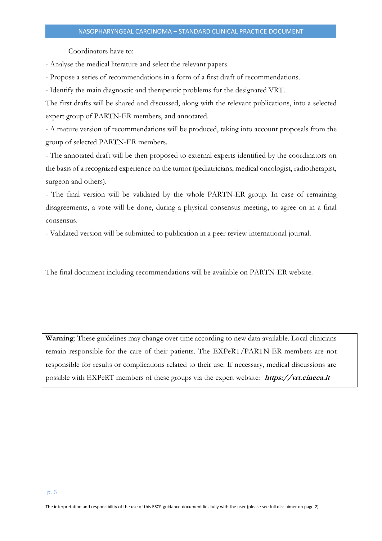Coordinators have to:

- Analyse the medical literature and select the relevant papers.

- Propose a series of recommendations in a form of a first draft of recommendations.

- Identify the main diagnostic and therapeutic problems for the designated VRT.

The first drafts will be shared and discussed, along with the relevant publications, into a selected expert group of PARTN-ER members, and annotated.

- A mature version of recommendations will be produced, taking into account proposals from the group of selected PARTN-ER members.

- The annotated draft will be then proposed to external experts identified by the coordinators on the basis of a recognized experience on the tumor (pediatricians, medical oncologist, radiotherapist, surgeon and others).

- The final version will be validated by the whole PARTN-ER group. In case of remaining disagreements, a vote will be done, during a physical consensus meeting, to agree on in a final consensus.

- Validated version will be submitted to publication in a peer review international journal.

The final document including recommendations will be available on PARTN-ER website.

**Warning**: These guidelines may change over time according to new data available. Local clinicians remain responsible for the care of their patients. The EXPeRT/PARTN-ER members are not responsible for results or complications related to their use. If necessary, medical discussions are possible with EXPeRT members of these groups via the expert website: **https://vrt.cineca.it**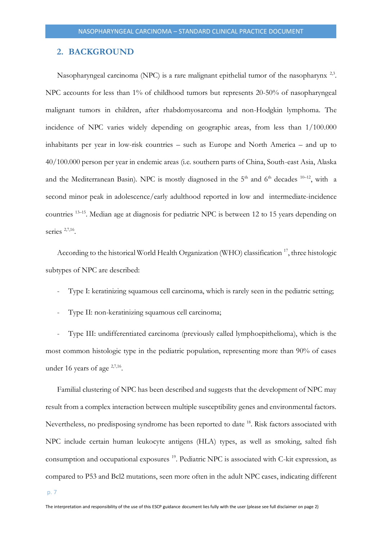# <span id="page-6-0"></span>**2. BACKGROUND**

Nasopharyngeal carcinoma (NPC) is a rare malignant epithelial tumor of the nasopharynx<sup>2,3</sup>. NPC accounts for less than 1% of childhood tumors but represents 20-50% of nasopharyngeal malignant tumors in children, after rhabdomyosarcoma and non-Hodgkin lymphoma. The incidence of NPC varies widely depending on geographic areas, from less than 1/100.000 inhabitants per year in low-risk countries – such as Europe and North America – and up to 40/100.000 person per year in endemic areas (i.e. southern parts of China, South-east Asia, Alaska and the Mediterranean Basin). NPC is mostly diagnosed in the  $5<sup>th</sup>$  and  $6<sup>th</sup>$  decades  $10-12$ , with a second minor peak in adolescence/early adulthood reported in low and intermediate-incidence countries <sup>13-15</sup>. Median age at diagnosis for pediatric NPC is between 12 to 15 years depending on series <sup>2,7,16</sup>.

According to the historical World Health Organization (WHO) classification <sup>17</sup>, three histologic subtypes of NPC are described:

- Type I: keratinizing squamous cell carcinoma, which is rarely seen in the pediatric setting;
- Type II: non-keratinizing squamous cell carcinoma;

- Type III: undifferentiated carcinoma (previously called lymphoepithelioma), which is the most common histologic type in the pediatric population, representing more than 90% of cases under 16 years of age <sup>2,7,16</sup>.

Familial clustering of NPC has been described and suggests that the development of NPC may result from a complex interaction between multiple susceptibility genes and environmental factors. Nevertheless, no predisposing syndrome has been reported to date <sup>18</sup>. Risk factors associated with NPC include certain human leukocyte antigens (HLA) types, as well as smoking, salted fish consumption and occupational exposures <sup>19</sup>. Pediatric NPC is associated with C-kit expression, as compared to P53 and Bcl2 mutations, seen more often in the adult NPC cases, indicating different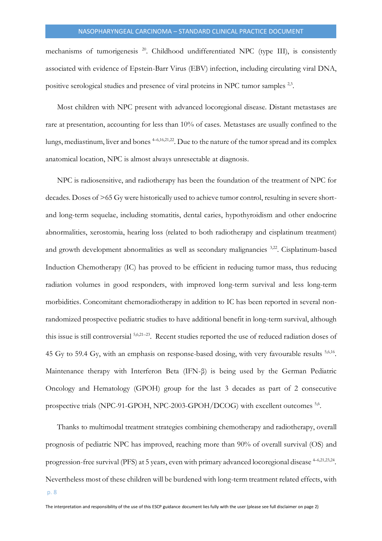mechanisms of tumorigenesis<sup>20</sup>. Childhood undifferentiated NPC (type III), is consistently associated with evidence of Epstein-Barr Virus (EBV) infection, including circulating viral DNA, positive serological studies and presence of viral proteins in NPC tumor samples <sup>2,3</sup>.

Most children with NPC present with advanced locoregional disease. Distant metastases are rare at presentation, accounting for less than 10% of cases. Metastases are usually confined to the lungs, mediastinum, liver and bones  $4-6,16,21,22$ . Due to the nature of the tumor spread and its complex anatomical location, NPC is almost always unresectable at diagnosis.

NPC is radiosensitive, and radiotherapy has been the foundation of the treatment of NPC for decades. Doses of >65 Gy were historically used to achieve tumor control, resulting in severe shortand long-term sequelae, including stomatitis, dental caries, hypothyroidism and other endocrine abnormalities, xerostomia, hearing loss (related to both radiotherapy and cisplatinum treatment) and growth development abnormalities as well as secondary malignancies <sup>3,22</sup>. Cisplatinum-based Induction Chemotherapy (IC) has proved to be efficient in reducing tumor mass, thus reducing radiation volumes in good responders, with improved long-term survival and less long-term morbidities. Concomitant chemoradiotherapy in addition to IC has been reported in several nonrandomized prospective pediatric studies to have additional benefit in long-term survival, although this issue is still controversial  $5,6,21-23$ . Recent studies reported the use of reduced radiation doses of 45 Gy to 59.4 Gy, with an emphasis on response-based dosing, with very favourable results <sup>5,6,16</sup>. Maintenance therapy with Interferon Beta (IFN-β) is being used by the German Pediatric Oncology and Hematology (GPOH) group for the last 3 decades as part of 2 consecutive prospective trials (NPC-91-GPOH, NPC-2003-GPOH/DCOG) with excellent outcomes <sup>5,6</sup>.

Thanks to multimodal treatment strategies combining chemotherapy and radiotherapy, overall prognosis of pediatric NPC has improved, reaching more than 90% of overall survival (OS) and progression-free survival (PFS) at 5 years, even with primary advanced locoregional disease  $4-6,21,23,24$ . Nevertheless most of these children will be burdened with long-term treatment related effects, with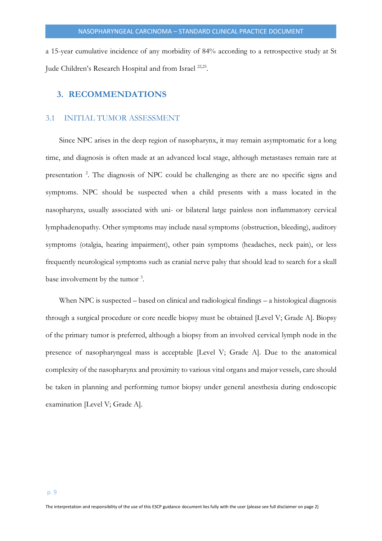a 15-year cumulative incidence of any morbidity of 84% according to a retrospective study at St Jude Children's Research Hospital and from Israel<sup>22,25</sup>.

# <span id="page-8-0"></span>**3. RECOMMENDATIONS**

# <span id="page-8-1"></span>3.1 INITIAL TUMOR ASSESSMENT

Since NPC arises in the deep region of nasopharynx, it may remain asymptomatic for a long time, and diagnosis is often made at an advanced local stage, although metastases remain rare at presentation<sup>2</sup>. The diagnosis of NPC could be challenging as there are no specific signs and symptoms. NPC should be suspected when a child presents with a mass located in the nasopharynx, usually associated with uni- or bilateral large painless non inflammatory cervical lymphadenopathy. Other symptoms may include nasal symptoms (obstruction, bleeding), auditory symptoms (otalgia, hearing impairment), other pain symptoms (headaches, neck pain), or less frequently neurological symptoms such as cranial nerve palsy that should lead to search for a skull base involvement by the tumor<sup>3</sup>.

When NPC is suspected – based on clinical and radiological findings – a histological diagnosis through a surgical procedure or core needle biopsy must be obtained [Level V; Grade A]. Biopsy of the primary tumor is preferred, although a biopsy from an involved cervical lymph node in the presence of nasopharyngeal mass is acceptable [Level V; Grade A]. Due to the anatomical complexity of the nasopharynx and proximity to various vital organs and major vessels, care should be taken in planning and performing tumor biopsy under general anesthesia during endoscopic examination [Level V; Grade A].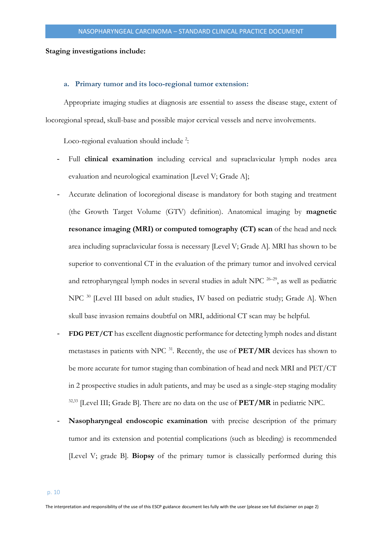# <span id="page-9-0"></span>**Staging investigations include:**

#### **a. Primary tumor and its loco-regional tumor extension:**

Appropriate imaging studies at diagnosis are essential to assess the disease stage, extent of locoregional spread, skull-base and possible major cervical vessels and nerve involvements.

Loco-regional evaluation should include<sup>2</sup>:

- Full **clinical examination** including cervical and supraclavicular lymph nodes area evaluation and neurological examination [Level V; Grade A];
- Accurate delination of locoregional disease is mandatory for both staging and treatment (the Growth Target Volume (GTV) definition). Anatomical imaging by **magnetic resonance imaging (MRI) or computed tomography (CT) scan** of the head and neck area including supraclavicular fossa is necessary [Level V; Grade A]. MRI has shown to be superior to conventional CT in the evaluation of the primary tumor and involved cervical and retropharyngeal lymph nodes in several studies in adult NPC  $26-29$ , as well as pediatric NPC<sup>30</sup> [Level III based on adult studies, IV based on pediatric study; Grade A]. When skull base invasion remains doubtful on MRI, additional CT scan may be helpful.
- FDG PET/CT has excellent diagnostic performance for detecting lymph nodes and distant metastases in patients with NPC <sup>31</sup> . Recently, the use of **PET/MR** devices has shown to be more accurate for tumor staging than combination of head and neck MRI and PET/CT in 2 prospective studies in adult patients, and may be used as a single-step staging modality 32,33 [Level III; Grade B]. There are no data on the use of **PET/MR** in pediatric NPC.
- Nasopharyngeal endoscopic examination with precise description of the primary tumor and its extension and potential complications (such as bleeding) is recommended [Level V; grade B]. **Biopsy** of the primary tumor is classically performed during this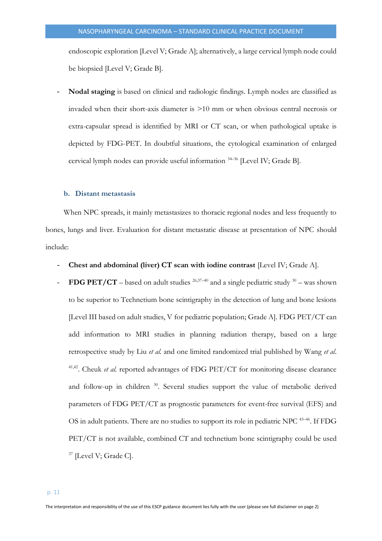endoscopic exploration [Level V; Grade A]; alternatively, a large cervical lymph node could be biopsied [Level V; Grade B].

- **Nodal staging** is based on clinical and radiologic findings. Lymph nodes are classified as invaded when their short-axis diameter is >10 mm or when obvious central necrosis or extra-capsular spread is identified by MRI or CT scan, or when pathological uptake is depicted by FDG-PET. In doubtful situations, the cytological examination of enlarged cervical lymph nodes can provide useful information <sup>34</sup>–<sup>36</sup> [Level IV; Grade B].

#### <span id="page-10-0"></span>**b. Distant metastasis**

When NPC spreads, it mainly metastasizes to thoracic regional nodes and less frequently to bones, lungs and liver. Evaluation for distant metastatic disease at presentation of NPC should include:

- **Chest and abdominal (liver) CT scan with iodine contrast** [Level IV; Grade A].
- **FDG PET/CT** based on adult studies  $26,37-40$  and a single pediatric study  $30$  was shown to be superior to Technetium bone scintigraphy in the detection of lung and bone lesions [Level III based on adult studies, V for pediatric population; Grade A]. FDG PET/CT can add information to MRI studies in planning radiation therapy, based on a large retrospective study by Liu *et al.* and one limited randomized trial published by Wang *et al*. 41,42. Cheuk *et al.* reported advantages of FDG PET/CT for monitoring disease clearance and follow-up in children <sup>30</sup>. Several studies support the value of metabolic derived parameters of FDG PET/CT as prognostic parameters for event-free survival (EFS) and OS in adult patients. There are no studies to support its role in pediatric NPC<sup>43-46</sup>. If FDG PET/CT is not available, combined CT and technetium bone scintigraphy could be used <sup>37</sup> [Level V; Grade C].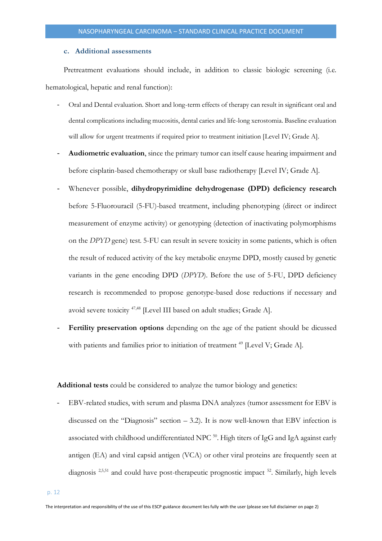#### **c. Additional assessments**

<span id="page-11-0"></span>Pretreatment evaluations should include, in addition to classic biologic screening (i.e. hematological, hepatic and renal function):

- Oral and Dental evaluation. Short and long-term effects of therapy can result in significant oral and dental complications including mucositis, dental caries and life-long xerostomia. Baseline evaluation will allow for urgent treatments if required prior to treatment initiation [Level IV; Grade A].
- **Audiometric evaluation**, since the primary tumor can itself cause hearing impairment and before cisplatin-based chemotherapy or skull base radiotherapy [Level IV; Grade A].
- Whenever possible, **dihydropyrimidine dehydrogenase (DPD) deficiency research** before 5-Fluorouracil (5-FU)-based treatment, including phenotyping (direct or indirect measurement of enzyme activity) or genotyping (detection of inactivating polymorphisms on the *DPYD* gene) test. 5-FU can result in severe toxicity in some patients, which is often the result of reduced activity of the key metabolic enzyme DPD, mostly caused by genetic variants in the gene encoding DPD (*DPYD*). Before the use of 5-FU, DPD deficiency research is recommended to propose genotype-based dose reductions if necessary and avoid severe toxicity<sup>47,48</sup> [Level III based on adult studies; Grade A].
- **Fertility preservation options** depending on the age of the patient should be dicussed with patients and families prior to initiation of treatment<sup>49</sup> [Level V; Grade A].

**Additional tests** could be considered to analyze the tumor biology and genetics:

EBV-related studies, with serum and plasma DNA analyzes (tumor assessment for EBV is discussed on the "Diagnosis" section  $-3.2$ ). It is now well-known that EBV infection is associated with childhood undifferentiated NPC  $^{50}$ . High titers of IgG and IgA against early antigen (EA) and viral capsid antigen (VCA) or other viral proteins are frequently seen at diagnosis<sup>2,5,51</sup> and could have post-therapeutic prognostic impact<sup>52</sup>. Similarly, high levels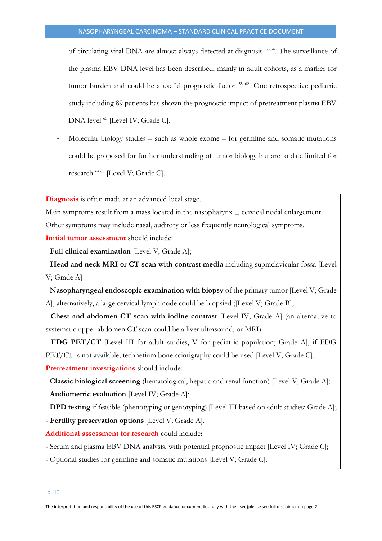of circulating viral DNA are almost always detected at diagnosis 53,54 . The surveillance of the plasma EBV DNA level has been described, mainly in adult cohorts, as a marker for tumor burden and could be a useful prognostic factor <sup>55-62</sup>. One retrospective pediatric study including 89 patients has shown the prognostic impact of pretreatment plasma EBV DNA level <sup>63</sup> [Level IV; Grade C].

Molecular biology studies – such as whole exome – for germline and somatic mutations could be proposed for further understanding of tumor biology but are to date limited for research 64,65 [Level V; Grade C].

**Diagnosis** is often made at an advanced local stage.

Main symptoms result from a mass located in the nasopharynx  $\pm$  cervical nodal enlargement.

Other symptoms may include nasal, auditory or less frequently neurological symptoms.

**Initial tumor assessment** should include:

- **Full clinical examination** [Level V; Grade A];

- **Head and neck MRI or CT scan with contrast media** including supraclavicular fossa [Level V; Grade A]

- **Nasopharyngeal endoscopic examination with biopsy** of the primary tumor [Level V; Grade A]; alternatively, a large cervical lymph node could be biopsied ([Level V; Grade B];

- **Chest and abdomen CT scan with iodine contrast** [Level IV; Grade A] (an alternative to systematic upper abdomen CT scan could be a liver ultrasound, or MRI).

- **FDG PET/CT** [Level III for adult studies, V for pediatric population; Grade A]; if FDG PET/CT is not available, technetium bone scintigraphy could be used [Level V; Grade C].

**Pretreatment investigations** should include:

- **Classic biological screening** (hematological, hepatic and renal function) [Level V; Grade A];

- **Audiometric evaluation** [Level IV; Grade A];

- **DPD testing** if feasible (phenotyping or genotyping) [Level III based on adult studies; Grade A];

- **Fertility preservation options** [Level V; Grade A].

**Additional assessment for research** could include:

- Serum and plasma EBV DNA analysis, with potential prognostic impact [Level IV; Grade C];

- Optional studies for germline and somatic mutations [Level V; Grade C].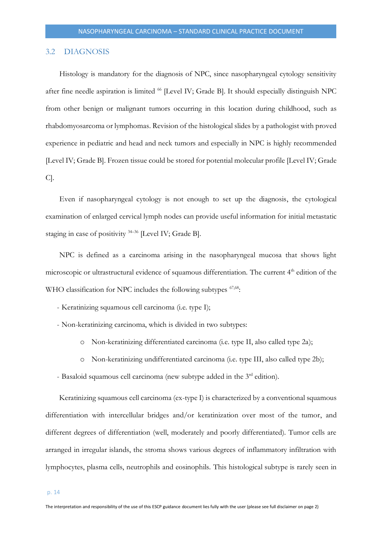#### <span id="page-13-0"></span>3.2 DIAGNOSIS

Histology is mandatory for the diagnosis of NPC, since nasopharyngeal cytology sensitivity after fine needle aspiration is limited <sup>66</sup> [Level IV; Grade B]. It should especially distinguish NPC from other benign or malignant tumors occurring in this location during childhood, such as rhabdomyosarcoma or lymphomas. Revision of the histological slides by a pathologist with proved experience in pediatric and head and neck tumors and especially in NPC is highly recommended [Level IV; Grade B]. Frozen tissue could be stored for potential molecular profile [Level IV; Grade C].

Even if nasopharyngeal cytology is not enough to set up the diagnosis, the cytological examination of enlarged cervical lymph nodes can provide useful information for initial metastatic staging in case of positivity  $34-36$  [Level IV; Grade B].

NPC is defined as a carcinoma arising in the nasopharyngeal mucosa that shows light microscopic or ultrastructural evidence of squamous differentiation. The current 4<sup>th</sup> edition of the WHO classification for NPC includes the following subtypes <sup>67,68</sup>:

- Keratinizing squamous cell carcinoma (i.e. type I);
- Non-keratinizing carcinoma, which is divided in two subtypes:
	- o Non-keratinizing differentiated carcinoma (i.e. type II, also called type 2a);
	- o Non-keratinizing undifferentiated carcinoma (i.e. type III, also called type 2b);
- Basaloid squamous cell carcinoma (new subtype added in the 3<sup>rd</sup> edition).

Keratinizing squamous cell carcinoma (ex-type I) is characterized by a conventional squamous differentiation with intercellular bridges and/or keratinization over most of the tumor, and different degrees of differentiation (well, moderately and poorly differentiated). Tumor cells are arranged in irregular islands, the stroma shows various degrees of inflammatory infiltration with lymphocytes, plasma cells, neutrophils and eosinophils. This histological subtype is rarely seen in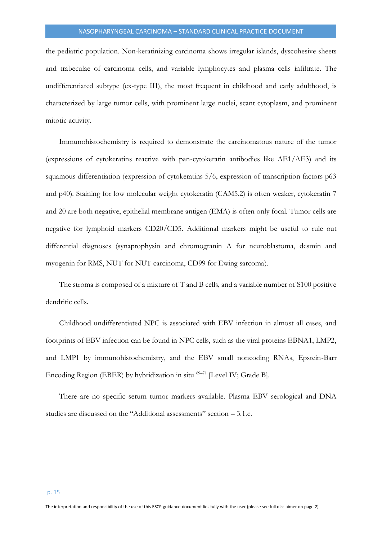the pediatric population. Non-keratinizing carcinoma shows irregular islands, dyscohesive sheets and trabeculae of carcinoma cells, and variable lymphocytes and plasma cells infiltrate. The undifferentiated subtype (ex-type III), the most frequent in childhood and early adulthood, is characterized by large tumor cells, with prominent large nuclei, scant cytoplasm, and prominent mitotic activity.

Immunohistochemistry is required to demonstrate the carcinomatous nature of the tumor (expressions of cytokeratins reactive with pan-cytokeratin antibodies like AE1/AE3) and its squamous differentiation (expression of cytokeratins 5/6, expression of transcription factors p63 and p40). Staining for low molecular weight cytokeratin (CAM5.2) is often weaker, cytokeratin 7 and 20 are both negative, epithelial membrane antigen (EMA) is often only focal. Tumor cells are negative for lymphoid markers CD20/CD5. Additional markers might be useful to rule out differential diagnoses (synaptophysin and chromogranin A for neuroblastoma, desmin and myogenin for RMS, NUT for NUT carcinoma, CD99 for Ewing sarcoma).

The stroma is composed of a mixture of T and B cells, and a variable number of S100 positive dendritic cells.

Childhood undifferentiated NPC is associated with EBV infection in almost all cases, and footprints of EBV infection can be found in NPC cells, such as the viral proteins EBNA1, LMP2, and LMP1 by immunohistochemistry, and the EBV small noncoding RNAs, Epstein-Barr Encoding Region (EBER) by hybridization in situ  $69-71$  [Level IV; Grade B].

There are no specific serum tumor markers available. Plasma EBV serological and DNA studies are discussed on the "Additional assessments" section – 3.1.c.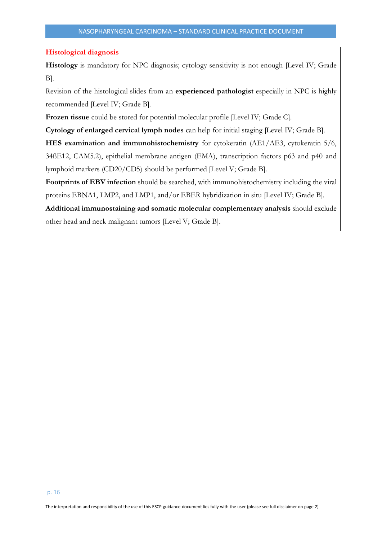# **Histological diagnosis**

Histology is mandatory for NPC diagnosis; cytology sensitivity is not enough [Level IV; Grade B].

Revision of the histological slides from an **experienced pathologist** especially in NPC is highly recommended [Level IV; Grade B].

**Frozen tissue** could be stored for potential molecular profile [Level IV; Grade C].

**Cytology of enlarged cervical lymph nodes** can help for initial staging [Level IV; Grade B].

**HES examination and immunohistochemistry** for cytokeratin (AE1/AE3, cytokeratin 5/6,

34ßE12, CAM5.2), epithelial membrane antigen (EMA), transcription factors p63 and p40 and lymphoid markers (CD20/CD5) should be performed [Level V; Grade B].

**Footprints of EBV infection** should be searched, with immunohistochemistry including the viral proteins EBNA1, LMP2, and LMP1, and/or EBER hybridization in situ [Level IV; Grade B].

**Additional immunostaining and somatic molecular complementary analysis** should exclude other head and neck malignant tumors [Level V; Grade B].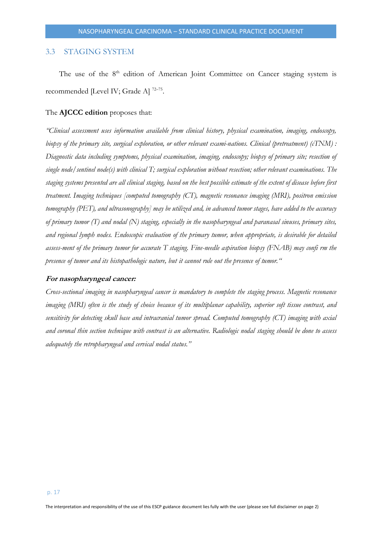# <span id="page-16-0"></span>3.3 STAGING SYSTEM

The use of the 8<sup>th</sup> edition of American Joint Committee on Cancer staging system is recommended [Level IV; Grade A]<sup>72-75</sup>.

# The **AJCCC edition** proposes that:

*"Clinical assessment uses information available from clinical history, physical examination, imaging, endoscopy, biopsy of the primary site, surgical exploration, or other relevant exami-nations. Clinical (pretreatment) (cTNM) : Diagnostic data including symptoms, physical examination, imaging, endoscopy; biopsy of primary site; resection of single node/sentinel node(s) with clinical T; surgical exploration without resection; other relevant examinations. The staging systems presented are all clinical staging, based on the best possible estimate of the extent of disease before first treatment. Imaging techniques [computed tomography (CT), magnetic resonance imaging (MRI), positron emission tomography (PET), and ultrasonography] may be utilized and, in advanced tumor stages, have added to the accuracy of primary tumor (T) and nodal (N) staging, especially in the nasopharyngeal and paranasal sinuses, primary sites, and regional lymph nodes. Endoscopic evaluation of the primary tumor, when appropriate, is desirable for detailed assess-ment of the primary tumor for accurate T staging. Fine-needle aspiration biopsy (FNAB) may confi rm the presence of tumor and its histopathologic nature, but it cannot rule out the presence of tumor."*

#### **For nasopharyngeal cancer:**

*Cross-sectional imaging in nasopharyngeal cancer is mandatory to complete the staging process. Magnetic resonance imaging (MRI) often is the study of choice because of its multiplanar capability, superior soft tissue contrast, and sensitivity for detecting skull base and intracranial tumor spread. Computed tomography (CT) imaging with axial and coronal thin section technique with contrast is an alternative. Radiologic nodal staging should be done to assess adequately the retropharyngeal and cervical nodal status."*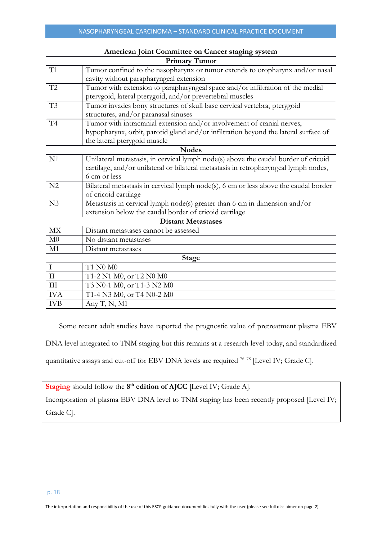| American Joint Committee on Cancer staging system |                                                                                      |  |  |  |  |  |
|---------------------------------------------------|--------------------------------------------------------------------------------------|--|--|--|--|--|
|                                                   | <b>Primary Tumor</b>                                                                 |  |  |  |  |  |
| T1                                                | Tumor confined to the nasopharynx or tumor extends to oropharynx and/or nasal        |  |  |  |  |  |
|                                                   | cavity without parapharyngeal extension                                              |  |  |  |  |  |
| T2                                                | Tumor with extension to parapharyngeal space and/or infiltration of the medial       |  |  |  |  |  |
|                                                   | pterygoid, lateral pterygoid, and/or prevertebral muscles                            |  |  |  |  |  |
| T <sub>3</sub>                                    | Tumor invades bony structures of skull base cervical vertebra, pterygoid             |  |  |  |  |  |
|                                                   | structures, and/or paranasal sinuses                                                 |  |  |  |  |  |
| T <sub>4</sub>                                    | Tumor with intracranial extension and/or involvement of cranial nerves,              |  |  |  |  |  |
|                                                   | hypopharynx, orbit, parotid gland and/or infiltration beyond the lateral surface of  |  |  |  |  |  |
|                                                   | the lateral pterygoid muscle                                                         |  |  |  |  |  |
|                                                   | <b>Nodes</b>                                                                         |  |  |  |  |  |
| N1                                                | Unilateral metastasis, in cervical lymph node(s) above the caudal border of cricoid  |  |  |  |  |  |
|                                                   | cartilage, and/or unilateral or bilateral metastasis in retropharyngeal lymph nodes, |  |  |  |  |  |
|                                                   | 6 cm or less                                                                         |  |  |  |  |  |
| N <sub>2</sub>                                    | Bilateral metastasis in cervical lymph node(s), 6 cm or less above the caudal border |  |  |  |  |  |
|                                                   | of cricoid cartilage                                                                 |  |  |  |  |  |
| N <sub>3</sub>                                    | Metastasis in cervical lymph node(s) greater than 6 cm in dimension and/or           |  |  |  |  |  |
|                                                   | extension below the caudal border of cricoid cartilage                               |  |  |  |  |  |
|                                                   | <b>Distant Metastases</b>                                                            |  |  |  |  |  |
| MX                                                | Distant metastases cannot be assessed                                                |  |  |  |  |  |
| M <sub>0</sub>                                    | No distant metastases                                                                |  |  |  |  |  |
| M1                                                | Distant metastases                                                                   |  |  |  |  |  |
| <b>Stage</b>                                      |                                                                                      |  |  |  |  |  |
| $\mathbf I$                                       | T1 N0 M0                                                                             |  |  |  |  |  |
| $\mathcal{I}$                                     | T1-2 N1 M0, or T2 N0 M0                                                              |  |  |  |  |  |
| III                                               | T3 N0-1 M0, or T1-3 N2 M0                                                            |  |  |  |  |  |
| <b>IVA</b>                                        | T1-4 N3 M0, or T4 N0-2 M0                                                            |  |  |  |  |  |
| <b>IVB</b>                                        | Any T, N, M1                                                                         |  |  |  |  |  |

Some recent adult studies have reported the prognostic value of pretreatment plasma EBV

DNA level integrated to TNM staging but this remains at a research level today, and standardized

quantitative assays and cut-off for EBV DNA levels are required <sup>76–78</sup> [Level IV; Grade C].

Staging should follow the 8<sup>th</sup> edition of AJCC [Level IV; Grade A]. Incorporation of plasma EBV DNA level to TNM staging has been recently proposed [Level IV; Grade C].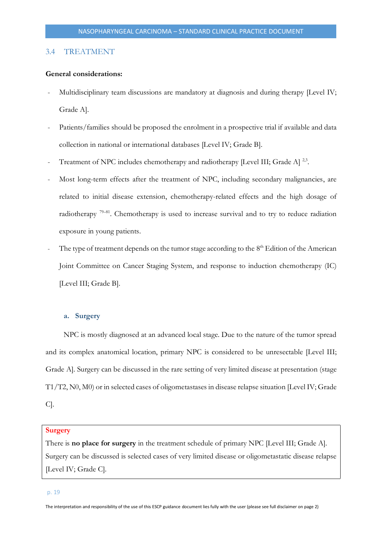# <span id="page-18-0"></span>3.4 TREATMENT

# **General considerations:**

- Multidisciplinary team discussions are mandatory at diagnosis and during therapy [Level IV; Grade A].
- Patients/families should be proposed the enrolment in a prospective trial if available and data collection in national or international databases [Level IV; Grade B].
- Treatment of NPC includes chemotherapy and radiotherapy [Level III; Grade A]<sup>2,3</sup>.
- Most long-term effects after the treatment of NPC, including secondary malignancies, are related to initial disease extension, chemotherapy-related effects and the high dosage of radiotherapy <sup>79–81</sup>. Chemotherapy is used to increase survival and to try to reduce radiation exposure in young patients.
- The type of treatment depends on the tumor stage according to the  $8<sup>th</sup>$  Edition of the American Joint Committee on Cancer Staging System, and response to induction chemotherapy (IC) [Level III; Grade B].

# <span id="page-18-1"></span>**a. Surgery**

NPC is mostly diagnosed at an advanced local stage. Due to the nature of the tumor spread and its complex anatomical location, primary NPC is considered to be unresectable [Level III; Grade A]. Surgery can be discussed in the rare setting of very limited disease at presentation (stage T1/T2, N0, M0) or in selected cases of oligometastases in disease relapse situation [Level IV; Grade C].

#### **Surgery**

There is **no place for surgery** in the treatment schedule of primary NPC [Level III; Grade A]. Surgery can be discussed is selected cases of very limited disease or oligometastatic disease relapse [Level IV; Grade C].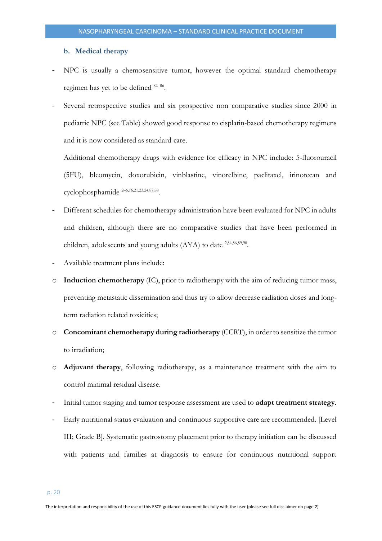## <span id="page-19-0"></span>**b. Medical therapy**

- NPC is usually a chemosensitive tumor, however the optimal standard chemotherapy regimen has yet to be defined <sup>82-86</sup>.
- Several retrospective studies and six prospective non comparative studies since 2000 in pediatric NPC (see Table) showed good response to cisplatin-based chemotherapy regimens and it is now considered as standard care.

Additional chemotherapy drugs with evidence for efficacy in NPC include: 5-fluorouracil (5FU), bleomycin, doxorubicin, vinblastine, vinorelbine, paclitaxel, irinotecan and cyclophosphamide <sup>2</sup>–6,16,21,23,24,87,88 .

- Different schedules for chemotherapy administration have been evaluated for NPC in adults and children, although there are no comparative studies that have been performed in children, adolescents and young adults (AYA) to date <sup>2,84,86,89,90</sup>.
- Available treatment plans include:
- o **Induction chemotherapy** (IC), prior to radiotherapy with the aim of reducing tumor mass, preventing metastatic dissemination and thus try to allow decrease radiation doses and longterm radiation related toxicities;
- o **Concomitant chemotherapy during radiotherapy** (CCRT), in order to sensitize the tumor to irradiation;
- o **Adjuvant therapy**, following radiotherapy, as a maintenance treatment with the aim to control minimal residual disease.
- Initial tumor staging and tumor response assessment are used to **adapt treatment strategy**.
- Early nutritional status evaluation and continuous supportive care are recommended. [Level III; Grade B]. Systematic gastrostomy placement prior to therapy initiation can be discussed with patients and families at diagnosis to ensure for continuous nutritional support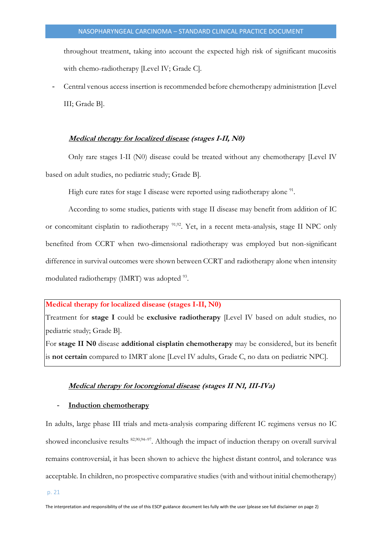throughout treatment, taking into account the expected high risk of significant mucositis with chemo-radiotherapy [Level IV; Grade C].

- Central venous access insertion is recommended before chemotherapy administration [Level III; Grade B].

#### **Medical therapy for localized disease (stages I-II, N0)**

<span id="page-20-0"></span>Only rare stages I-II (N0) disease could be treated without any chemotherapy [Level IV based on adult studies, no pediatric study; Grade B].

High cure rates for stage I disease were reported using radiotherapy alone <sup>91</sup>.

According to some studies, patients with stage II disease may benefit from addition of IC or concomitant cisplatin to radiotherapy <sup>91,92</sup>. Yet, in a recent meta-analysis, stage II NPC only benefited from CCRT when two-dimensional radiotherapy was employed but non-significant difference in survival outcomes were shown between CCRT and radiotherapy alone when intensity modulated radiotherapy (IMRT) was adopted <sup>93</sup>.

#### **Medical therapy for localized disease (stages I-II, N0)**

Treatment for **stage I** could be **exclusive radiotherapy** [Level IV based on adult studies, no pediatric study; Grade B].

<span id="page-20-1"></span>For **stage II N0** disease **additional cisplatin chemotherapy** may be considered, but its benefit is **not certain** compared to IMRT alone [Level IV adults, Grade C, no data on pediatric NPC].

#### **Medical therapy for locoregional disease (stages II N1, III-IVa)**

#### - **Induction chemotherapy**

In adults, large phase III trials and meta-analysis comparing different IC regimens versus no IC showed inconclusive results <sup>82,90,94-97</sup>. Although the impact of induction therapy on overall survival remains controversial, it has been shown to achieve the highest distant control, and tolerance was acceptable. In children, no prospective comparative studies (with and without initial chemotherapy)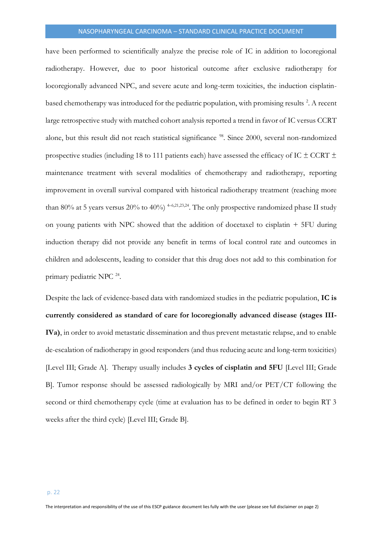have been performed to scientifically analyze the precise role of IC in addition to locoregional radiotherapy. However, due to poor historical outcome after exclusive radiotherapy for locoregionally advanced NPC, and severe acute and long-term toxicities, the induction cisplatinbased chemotherapy was introduced for the pediatric population, with promising results <sup>2</sup>. A recent large retrospective study with matched cohort analysis reported a trend in favor of IC versus CCRT alone, but this result did not reach statistical significance <sup>98</sup>. Since 2000, several non-randomized prospective studies (including 18 to 111 patients each) have assessed the efficacy of IC  $\pm$  CCRT  $\pm$ maintenance treatment with several modalities of chemotherapy and radiotherapy, reporting improvement in overall survival compared with historical radiotherapy treatment (reaching more than 80% at 5 years versus 20% to 40%)  $^{4-6,21,23,24}$ . The only prospective randomized phase II study on young patients with NPC showed that the addition of docetaxel to cisplatin + 5FU during induction therapy did not provide any benefit in terms of local control rate and outcomes in children and adolescents, leading to consider that this drug does not add to this combination for primary pediatric NPC<sup>24</sup>.

Despite the lack of evidence-based data with randomized studies in the pediatric population, **IC is currently considered as standard of care for locoregionally advanced disease (stages III-IVa)**, in order to avoid metastatic dissemination and thus prevent metastatic relapse, and to enable de-escalation of radiotherapy in good responders (and thus reducing acute and long-term toxicities) [Level III; Grade A]. Therapy usually includes **3 cycles of cisplatin and 5FU** [Level III; Grade B]. Tumor response should be assessed radiologically by MRI and/or PET/CT following the second or third chemotherapy cycle (time at evaluation has to be defined in order to begin RT 3 weeks after the third cycle) [Level III; Grade B].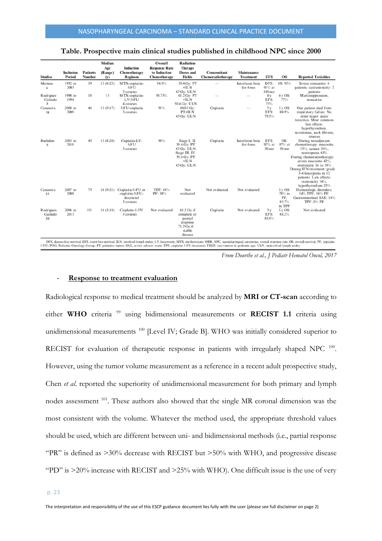| <b>Studies</b>              | <b>Inclusion</b><br>Period | <b>Patients</b><br><b>Number</b> | Median<br>Age<br>(Range)<br>(y) | <b>Induction</b><br>Chemotherapy<br>Regimen                    | Overall<br><b>Response Rate</b><br>to Induction<br>Chemotherapy | Radiation<br><b>Therapy</b><br>Doses and<br><b>Fields</b>                                          | Concomitant<br>Chemoradiotherapy | Maintenance<br><b>Treatment</b> | <b>EFS</b>                            | <b>OS</b>                                                | <b>Reported Toxicities</b>                                                                                                                                                                                                                                                                     |
|-----------------------------|----------------------------|----------------------------------|---------------------------------|----------------------------------------------------------------|-----------------------------------------------------------------|----------------------------------------------------------------------------------------------------|----------------------------------|---------------------------------|---------------------------------------|----------------------------------------------------------|------------------------------------------------------------------------------------------------------------------------------------------------------------------------------------------------------------------------------------------------------------------------------------------------|
| Mertens<br>4                | 1992 to<br>2003            | 59                               | $13(8-25)$                      | MTX-cisplatin-<br>5-FU<br>3 courses                            | 94.9%                                                           | 59.4 Gv: PT<br>$+ILN$<br>45 Gv: ULN                                                                |                                  | Interferon beta<br>for 6 mo     | DFS:<br>$91\%$ at<br>$108 \text{ mo}$ | 0S: 95%                                                  | Severe stomatitis: 4<br>patients, cardiotoxicity: 2                                                                                                                                                                                                                                            |
| Rodriguez<br>Galindo<br>3   | 1990 to<br>1994            | 18                               | 13                              | MTX-cisplatin-<br>LV-5-FU<br>4 courses                         | 93.75%                                                          | 61.2 Gy: PT<br>$+ILN$<br>50.4 Gy: ULN                                                              |                                  |                                 | 4 y<br>EFS:<br>75%                    | $4yOS$ :<br>77%                                          | patients<br>Myelosuppression.<br>stomatitis                                                                                                                                                                                                                                                    |
| Casanova<br>19              | 2000 to<br>2009            | 46                               | $13(9-17)$                      | 5-FU-cisplatin<br>3 courses                                    | 91%                                                             | 60/65 Gv:<br>PT+ILN<br>45 Gy: ULN                                                                  | Cisplatin                        |                                 | 5 v<br>EFS:<br>79.3%                  | 5vOS:<br>80.9%                                           | One patient died from<br>respiratory failure. No<br>other major acute<br>toxicities. Most common<br>late effects:<br>hypothyroidism,<br>xerostomia, neck fibrosis,<br>trismus                                                                                                                  |
| Buehrlen<br>5               | 2003 to<br>2010            | 45                               | $15(8-20)$                      | Cisplatin-LV-<br>5-FU<br>3 courses                             | $98\%$                                                          | Stage I. II:<br>59.4 Gy: PT<br>45 Gv: ULN<br>Stage III, IV:<br>59.4 Gy: PT<br>$+ILN$<br>45 Gy: ULN | Cisplatin                        | Interferon beta<br>for 6 mo     | EFS:<br>$92\%$ at<br>30 <sub>mo</sub> | OS:<br>$97\%$ at<br>30 <sub>mo</sub>                     | During neoadjuvant<br>chemotherapy: mucositis<br>53%, nausea 36%.<br>neutropenia 63%<br>During chemoradiotherapy:<br>severe mucositis 42%<br>ototoxicity 16 to 19%<br>During IFN treatment: grade<br>3-4 leucopenia in 12<br>patients. Late effects:<br>ototoxicity 14%.<br>hypothyroidism 25% |
| Casanova<br>21              | 2007 to<br>2008            | 75                               | $16(9-21)$                      | Cisplatin-5-FU or<br>cisplatin-5-FU-<br>docetaxel<br>3 courses | TPF: 88%<br>PF: 88%                                             | Not<br>evaluated                                                                                   | Not evaluated                    | Not evaluated                   |                                       | $3 \text{ v OS:}$<br>$78\%$ in<br>PF.<br>85.7%<br>in TPF | Hematologic disorders:<br>14% TPF, 16% PF.<br>Gastrointestinal SAE: 14%<br>TPF, 0% PF                                                                                                                                                                                                          |
| Rodriguez-<br>Galindo<br>22 | 2006 to<br>2013            | 111                              | $14(3-18)$                      | Cisplatin-5-FU<br>3 courses                                    | Not evaluated                                                   | 61.2 Gy if<br>complete or<br>partial<br>response<br>71.2 Gy if<br>stable<br>disease                | Cisplatin                        | Not evaluated                   | 5 y<br>EFS:<br>85.5%                  | 5vOS:<br>88.2%                                           | Not evaluated                                                                                                                                                                                                                                                                                  |

# **Table. Prospective main clinical studies published in childhood NPC since 2000**

*From Dourthe et al., J Pediatr Hematol Oncol, 2017*

# - **Response to treatment evaluation**

Radiological response to medical treatment should be analyzed by **MRI or CT-scan** according to either WHO criteria<sup>99</sup> using bidimensional measurements or **RECIST 1.1** criteria using unidimensional measurements <sup>100</sup> [Level IV; Grade B]. WHO was initially considered superior to RECIST for evaluation of therapeutic response in patients with irregularly shaped NPC<sup>100</sup>. However, using the tumor volume measurement as a reference in a recent adult prospective study, Chen *et al*. reported the superiority of unidimensional measurement for both primary and lymph nodes assessment <sup>101</sup>. These authors also showed that the single MR coronal dimension was the most consistent with the volume. Whatever the method used, the appropriate threshold values should be used, which are different between uni- and bidimensional methods (i.e., partial response "PR" is defined as  $>30\%$  decrease with RECIST but  $>50\%$  with WHO, and progressive disease "PD" is >20% increase with RECIST and >25% with WHO). One difficult issue is the use of very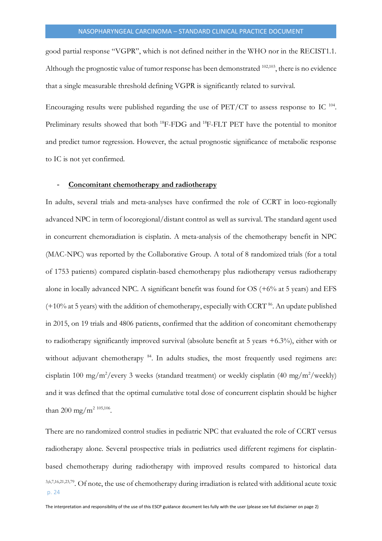good partial response "VGPR", which is not defined neither in the WHO nor in the RECIST1.1. Although the prognostic value of tumor response has been demonstrated  $^{102,103}$ , there is no evidence that a single measurable threshold defining VGPR is significantly related to survival.

Encouraging results were published regarding the use of  $PET/CT$  to assess response to IC  $^{104}$ . Preliminary results showed that both <sup>18</sup>F-FDG and <sup>18</sup>F-FLT PET have the potential to monitor and predict tumor regression. However, the actual prognostic significance of metabolic response to IC is not yet confirmed.

#### - **Concomitant chemotherapy and radiotherapy**

In adults, several trials and meta-analyses have confirmed the role of CCRT in loco-regionally advanced NPC in term of locoregional/distant control as well as survival. The standard agent used in concurrent chemoradiation is cisplatin. A meta-analysis of the chemotherapy benefit in NPC (MAC-NPC) was reported by the Collaborative Group. A total of 8 randomized trials (for a total of 1753 patients) compared cisplatin-based chemotherapy plus radiotherapy versus radiotherapy alone in locally advanced NPC. A significant benefit was found for OS (+6% at 5 years) and EFS (+10% at 5 years) with the addition of chemotherapy, especially with CCRT <sup>86</sup>. An update published in 2015, on 19 trials and 4806 patients, confirmed that the addition of concomitant chemotherapy to radiotherapy significantly improved survival (absolute benefit at 5 years +6.3%), either with or without adjuvant chemotherapy <sup>84</sup>. In adults studies, the most frequently used regimens are: cisplatin 100 mg/m<sup>2</sup>/every 3 weeks (standard treatment) or weekly cisplatin (40 mg/m<sup>2</sup>/weekly) and it was defined that the optimal cumulative total dose of concurrent cisplatin should be higher than 200 mg/m<sup>2 105,106</sup>.

p. 24 There are no randomized control studies in pediatric NPC that evaluated the role of CCRT versus radiotherapy alone. Several prospective trials in pediatrics used different regimens for cisplatinbased chemotherapy during radiotherapy with improved results compared to historical data 3,6,7,16,21,23,79 . Of note, the use of chemotherapy during irradiation is related with additional acute toxic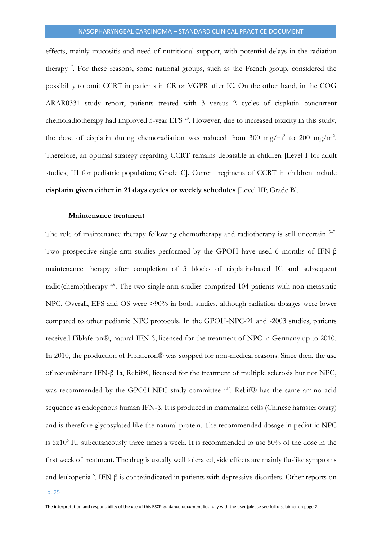effects, mainly mucositis and need of nutritional support, with potential delays in the radiation therapy<sup>7</sup>. For these reasons, some national groups, such as the French group, considered the possibility to omit CCRT in patients in CR or VGPR after IC. On the other hand, in the COG ARAR0331 study report, patients treated with 3 versus 2 cycles of cisplatin concurrent chemoradiotherapy had improved 5-year EFS<sup>23</sup>. However, due to increased toxicity in this study, the dose of cisplatin during chemoradiation was reduced from 300 mg/m<sup>2</sup> to 200 mg/m<sup>2</sup>. Therefore, an optimal strategy regarding CCRT remains debatable in children [Level I for adult studies, III for pediatric population; Grade C]. Current regimens of CCRT in children include **cisplatin given either in 21 days cycles or weekly schedules** [Level III; Grade B].

#### **Maintenance treatment**

The role of maintenance therapy following chemotherapy and radiotherapy is still uncertain  $5-7$ . Two prospective single arm studies performed by the GPOH have used 6 months of IFN-β maintenance therapy after completion of 3 blocks of cisplatin-based IC and subsequent radio(chemo)therapy <sup>5,6</sup>. The two single arm studies comprised 104 patients with non-metastatic NPC. Overall, EFS and OS were >90% in both studies, although radiation dosages were lower compared to other pediatric NPC protocols. In the GPOH-NPC-91 and -2003 studies, patients received Fiblaferon®, natural IFN-β, licensed for the treatment of NPC in Germany up to 2010. In 2010, the production of Fiblaferon® was stopped for non-medical reasons. Since then, the use of recombinant IFN-β 1a, Rebif®, licensed for the treatment of multiple sclerosis but not NPC, was recommended by the GPOH-NPC study committee <sup>107</sup>. Rebif<sup>®</sup> has the same amino acid sequence as endogenous human IFN-β. It is produced in mammalian cells (Chinese hamster ovary) and is therefore glycosylated like the natural protein. The recommended dosage in pediatric NPC is  $6x10<sup>6</sup>$  IU subcutaneously three times a week. It is recommended to use  $50\%$  of the dose in the first week of treatment. The drug is usually well tolerated, side effects are mainly flu-like symptoms and leukopenia <sup>6</sup> . IFN-β is contraindicated in patients with depressive disorders. Other reports on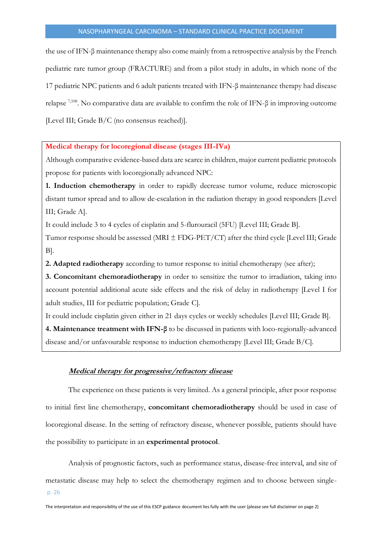the use of IFN-β maintenance therapy also come mainly from a retrospective analysis by the French pediatric rare tumor group (FRACTURE) and from a pilot study in adults, in which none of the 17 pediatric NPC patients and 6 adult patients treated with IFN-β maintenance therapy had disease relapse  $^{7,108}$ . No comparative data are available to confirm the role of IFN- $\beta$  in improving outcome [Level III; Grade B/C (no consensus reached)].

# **Medical therapy for locoregional disease (stages III-IVa)**

Although comparative evidence-based data are scarce in children, major current pediatric protocols propose for patients with locoregionally advanced NPC:

**1. Induction chemotherapy** in order to rapidly decrease tumor volume, reduce microscopic distant tumor spread and to allow de-escalation in the radiation therapy in good responders [Level III; Grade A].

It could include 3 to 4 cycles of cisplatin and 5-flurouracil (5FU) [Level III; Grade B].

Tumor response should be assessed (MRI  $\pm$  FDG-PET/CT) after the third cycle [Level III; Grade B].

**2. Adapted radiotherapy** according to tumor response to initial chemotherapy (see after);

**3. Concomitant chemoradiotherapy** in order to sensitize the tumor to irradiation, taking into account potential additional acute side effects and the risk of delay in radiotherapy [Level I for adult studies, III for pediatric population; Grade C].

It could include cisplatin given either in 21 days cycles or weekly schedules [Level III; Grade B].

<span id="page-25-0"></span>**4. Maintenance treatment with IFN-β** to be discussed in patients with loco-regionally-advanced disease and/or unfavourable response to induction chemotherapy [Level III; Grade B/C].

# **Medical therapy for progressive/refractory disease**

The experience on these patients is very limited. As a general principle, after poor response to initial first line chemotherapy, **concomitant chemoradiotherapy** should be used in case of locoregional disease. In the setting of refractory disease, whenever possible, patients should have the possibility to participate in an **experimental protocol**.

p. 26 Analysis of prognostic factors, such as performance status, disease-free interval, and site of metastatic disease may help to select the chemotherapy regimen and to choose between single-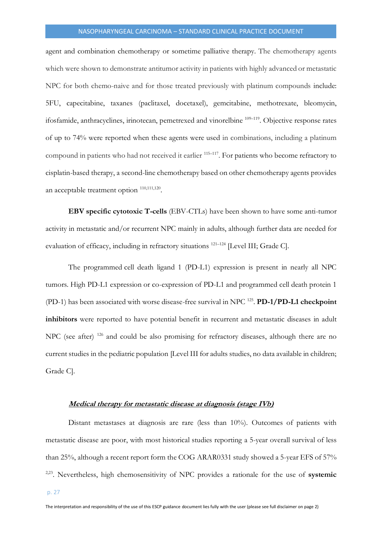agent and combination chemotherapy or sometime palliative therapy. The chemotherapy agents which were shown to demonstrate antitumor activity in patients with highly advanced or metastatic NPC for both chemo-naive and for those treated previously with platinum compounds include: 5FU, capecitabine, taxanes (paclitaxel, docetaxel), gemcitabine, methotrexate, bleomycin, ifosfamide, anthracyclines, irinotecan, pemetrexed and vinorelbine <sup>109-119</sup>. Objective response rates of up to 74% were reported when these agents were used in combinations, including a platinum compound in patients who had not received it earlier <sup>115-117</sup>. For patients who become refractory to cisplatin-based therapy, a second-line chemotherapy based on other chemotherapy agents provides an acceptable treatment option  $110,111,120$ .

**EBV specific cytotoxic T-cells** (EBV-CTLs) have been shown to have some anti-tumor activity in metastatic and/or recurrent NPC mainly in adults, although further data are needed for evaluation of efficacy, including in refractory situations <sup>121–124</sup> [Level III; Grade C].

The programmed cell death ligand 1 (PD-L1) expression is present in nearly all NPC tumors. High PD-L1 expression or co-expression of PD-L1 and programmed cell death protein 1 (PD-1) has been associated with worse disease-free survival in NPC <sup>125</sup> . **PD-1/PD-L1 checkpoint inhibitors** were reported to have potential benefit in recurrent and metastatic diseases in adult NPC (see after)<sup>126</sup> and could be also promising for refractory diseases, although there are no current studies in the pediatric population [Level III for adults studies, no data available in children; Grade C].

#### <span id="page-26-0"></span>**Medical therapy for metastatic disease at diagnosis (stage IVb)**

Distant metastases at diagnosis are rare (less than 10%). Outcomes of patients with metastatic disease are poor, with most historical studies reporting a 5-year overall survival of less than 25%, although a recent report form the COG ARAR0331 study showed a 5-year EFS of 57% 2,23 . Nevertheless, high chemosensitivity of NPC provides a rationale for the use of **systemic**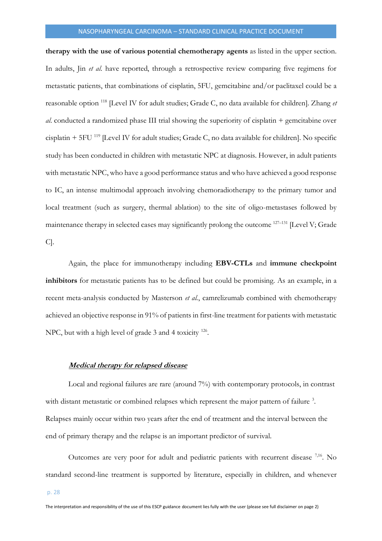**therapy with the use of various potential chemotherapy agents** as listed in the upper section. In adults, Jin *et al*. have reported, through a retrospective review comparing five regimens for metastatic patients, that combinations of cisplatin, 5FU, gemcitabine and/or paclitaxel could be a reasonable option <sup>118</sup> [Level IV for adult studies; Grade C, no data available for children]. Zhang *et al.* conducted a randomized phase III trial showing the superiority of cisplatin + gemcitabine over cisplatin + 5FU <sup>119</sup> [Level IV for adult studies; Grade C, no data available for children]. No specific study has been conducted in children with metastatic NPC at diagnosis. However, in adult patients with metastatic NPC, who have a good performance status and who have achieved a good response to IC, an intense multimodal approach involving chemoradiotherapy to the primary tumor and local treatment (such as surgery, thermal ablation) to the site of oligo-metastases followed by maintenance therapy in selected cases may significantly prolong the outcome <sup>127–131</sup> [Level V; Grade C].

Again, the place for immunotherapy including **EBV-CTLs** and **immune checkpoint inhibitors** for metastatic patients has to be defined but could be promising. As an example, in a recent meta-analysis conducted by Masterson *et al.*, camrelizumab combined with chemotherapy achieved an objective response in 91% of patients in first-line treatment for patients with metastatic NPC, but with a high level of grade 3 and 4 toxicity <sup>126</sup>.

# <span id="page-27-0"></span>**Medical therapy for relapsed disease**

Local and regional failures are rare (around 7%) with contemporary protocols, in contrast with distant metastatic or combined relapses which represent the major pattern of failure<sup>3</sup>. Relapses mainly occur within two years after the end of treatment and the interval between the end of primary therapy and the relapse is an important predictor of survival.

Outcomes are very poor for adult and pediatric patients with recurrent disease <sup>7,16</sup>. No standard second-line treatment is supported by literature, especially in children, and whenever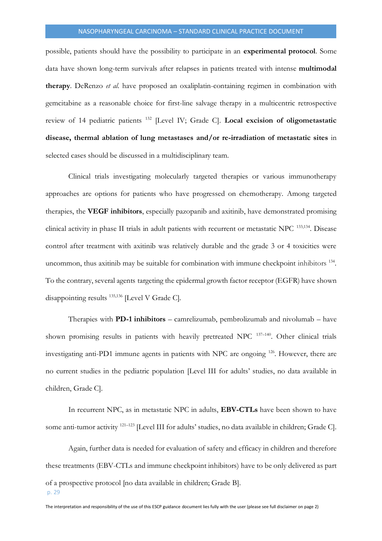possible, patients should have the possibility to participate in an **experimental protocol**. Some data have shown long-term survivals after relapses in patients treated with intense **multimodal therapy**. DeRenzo *et al.* have proposed an oxaliplatin-containing regimen in combination with gemcitabine as a reasonable choice for first-line salvage therapy in a multicentric retrospective review of 14 pediatric patients <sup>132</sup> [Level IV; Grade C]. **Local excision of oligometastatic disease, thermal ablation of lung metastases and/or re-irradiation of metastatic sites** in selected cases should be discussed in a multidisciplinary team.

Clinical trials investigating molecularly targeted therapies or various immunotherapy approaches are options for patients who have progressed on chemotherapy. Among targeted therapies, the **VEGF inhibitors**, especially pazopanib and axitinib, have demonstrated promising clinical activity in phase II trials in adult patients with recurrent or metastatic NPC<sup>133,134</sup>. Disease control after treatment with axitinib was relatively durable and the grade 3 or 4 toxicities were uncommon, thus axitinib may be suitable for combination with immune checkpoint inhibitors <sup>134</sup>. To the contrary, several agents targeting the epidermal growth factor receptor (EGFR) have shown disappointing results <sup>135,136</sup> [Level V Grade C].

Therapies with **PD-1 inhibitors** – camrelizumab, pembrolizumab and nivolumab – have shown promising results in patients with heavily pretreated NPC <sup>137-140</sup>. Other clinical trials investigating anti-PD1 immune agents in patients with NPC are ongoing <sup>126</sup>. However, there are no current studies in the pediatric population [Level III for adults' studies, no data available in children, Grade C].

In recurrent NPC, as in metastatic NPC in adults, **EBV-CTLs** have been shown to have some anti-tumor activity <sup>121–123</sup> [Level III for adults' studies, no data available in children; Grade C].

p. 29 Again, further data is needed for evaluation of safety and efficacy in children and therefore these treatments (EBV-CTLs and immune checkpoint inhibitors) have to be only delivered as part of a prospective protocol [no data available in children; Grade B].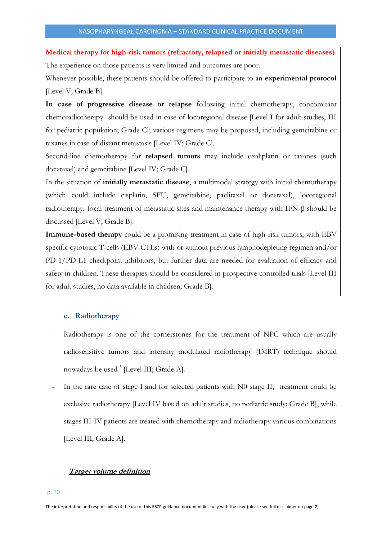**Medical therapy for high-risk tumors (refractory, relapsed or initially metastatic diseases)** The experience on those patients is very limited and outcomes are poor.

Whenever possible, these patients should be offered to participate to an **experimental protocol** [Level V; Grade B].

**In case of progressive disease or relapse** following initial chemotherapy, concomitant chemoradiotherapy should be used in case of locoregional disease [Level I for adult studies, III for pediatric population; Grade C]; various regimens may be proposed, including gemcitabine or taxanes in case of distant metastasis [Level IV; Grade C].

Second-line chemotherapy for **relapsed tumors** may include oxaliplatin or taxanes (such docetaxel) and gemcitabine [Level IV; Grade C].

In the situation of **initially metastatic disease**, a multimodal strategy with initial chemotherapy (which could include cisplatin, 5FU, gemcitabine, paclitaxel or docetaxel), locoregional radiotherapy, focal treatment of metastatic sites and maintenance therapy with IFN-β should be discussed [Level V; Grade B].

**Immune-based therapy** could be a promising treatment in case of high-risk tumors, with EBV specific cytotoxic T-cells (EBV-CTLs) with or without previous lymphodepleting regimen and/or PD-1/PD-L1 checkpoint inhibitors, but further data are needed for evaluation of efficacy and safety in children. These therapies should be considered in prospective controlled trials [Level III for adult studies, no data available in children; Grade B].

# <span id="page-29-0"></span>**c. Radiotherapy**

- Radiotherapy is one of the cornerstones for the treatment of NPC which are usually radiosensitive tumors and intensity modulated radiotherapy (IMRT) technique should nowadays be used <sup>3</sup> [Level III; Grade A].
- In the rare case of stage I and for selected patients with N0 stage II, treatment could be exclusive radiotherapy [Level IV based on adult studies, no pediatric study; Grade B], while stages III-IV patients are treated with chemotherapy and radiotherapy various combinations [Level III; Grade A].

# <span id="page-29-1"></span>**Target volume definition**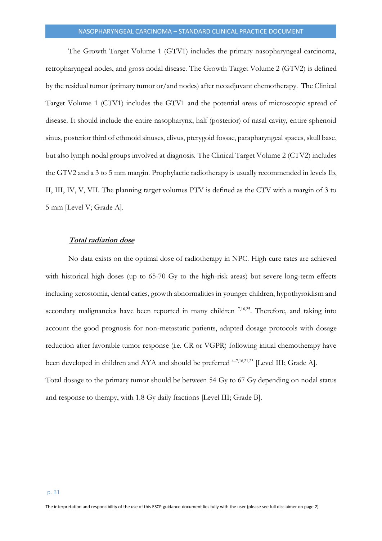The Growth Target Volume 1 (GTV1) includes the primary nasopharyngeal carcinoma, retropharyngeal nodes, and gross nodal disease. The Growth Target Volume 2 (GTV2) is defined by the residual tumor (primary tumor or/and nodes) after neoadjuvant chemotherapy. The Clinical Target Volume 1 (CTV1) includes the GTV1 and the potential areas of microscopic spread of disease. It should include the entire nasopharynx, half (posterior) of nasal cavity, entire sphenoid sinus, posterior third of ethmoid sinuses, clivus, pterygoid fossae, parapharyngeal spaces, skull base, but also lymph nodal groups involved at diagnosis. The Clinical Target Volume 2 (CTV2) includes the GTV2 and a 3 to 5 mm margin. Prophylactic radiotherapy is usually recommended in levels Ib, II, III, IV, V, VII. The planning target volumes PTV is defined as the CTV with a margin of 3 to 5 mm [Level V; Grade A].

#### <span id="page-30-0"></span>**Total radiation dose**

No data exists on the optimal dose of radiotherapy in NPC. High cure rates are achieved with historical high doses (up to 65-70 Gy to the high-risk areas) but severe long-term effects including xerostomia, dental caries, growth abnormalities in younger children, hypothyroidism and secondary malignancies have been reported in many children <sup>7,16,25</sup>. Therefore, and taking into account the good prognosis for non-metastatic patients, adapted dosage protocols with dosage reduction after favorable tumor response (i.e. CR or VGPR) following initial chemotherapy have been developed in children and AYA and should be preferred <sup>4-7,16,21,23</sup> [Level III; Grade A]. Total dosage to the primary tumor should be between 54 Gy to 67 Gy depending on nodal status and response to therapy, with 1.8 Gy daily fractions [Level III; Grade B].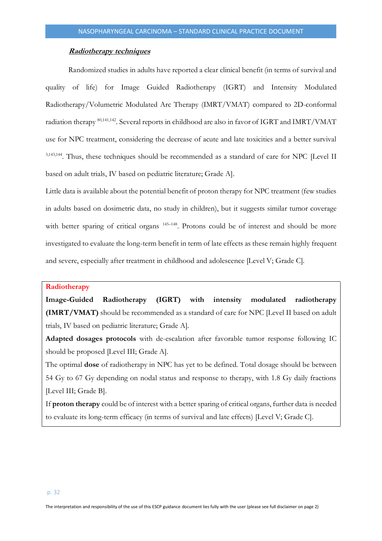### **Radiotherapy techniques**

<span id="page-31-0"></span>Randomized studies in adults have reported a clear clinical benefit (in terms of survival and quality of life) for Image Guided Radiotherapy (IGRT) and Intensity Modulated Radiotherapy/Volumetric Modulated Arc Therapy (IMRT/VMAT) compared to 2D-conformal radiation therapy  $80,141,142$ . Several reports in childhood are also in favor of IGRT and IMRT/VMAT use for NPC treatment, considering the decrease of acute and late toxicities and a better survival 3,143,144 . Thus, these techniques should be recommended as a standard of care for NPC [Level II based on adult trials, IV based on pediatric literature; Grade A].

Little data is available about the potential benefit of proton therapy for NPC treatment (few studies in adults based on dosimetric data, no study in children), but it suggests similar tumor coverage with better sparing of critical organs <sup>145-148</sup>. Protons could be of interest and should be more investigated to evaluate the long-term benefit in term of late effects as these remain highly frequent and severe, especially after treatment in childhood and adolescence [Level V; Grade C].

# **Radiotherapy**

**Image-Guided Radiotherapy (IGRT) with intensity modulated radiotherapy (IMRT/VMAT)** should be recommended as a standard of care for NPC [Level II based on adult trials, IV based on pediatric literature; Grade A].

**Adapted dosages protocols** with de-escalation after favorable tumor response following IC should be proposed [Level III; Grade A].

The optimal **dose** of radiotherapy in NPC has yet to be defined. Total dosage should be between 54 Gy to 67 Gy depending on nodal status and response to therapy, with 1.8 Gy daily fractions [Level III; Grade B].

If **proton therapy** could be of interest with a better sparing of critical organs, further data is needed to evaluate its long-term efficacy (in terms of survival and late effects) [Level V; Grade C].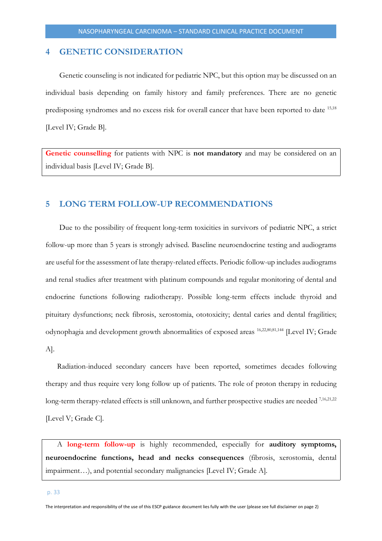# <span id="page-32-0"></span>**4 GENETIC CONSIDERATION**

Genetic counseling is not indicated for pediatric NPC, but this option may be discussed on an individual basis depending on family history and family preferences. There are no genetic predisposing syndromes and no excess risk for overall cancer that have been reported to date 15,18 [Level IV; Grade B].

**Genetic counselling** for patients with NPC is **not mandatory** and may be considered on an individual basis [Level IV; Grade B].

# <span id="page-32-1"></span>**5 LONG TERM FOLLOW-UP RECOMMENDATIONS**

Due to the possibility of frequent long-term toxicities in survivors of pediatric NPC, a strict follow-up more than 5 years is strongly advised. Baseline neuroendocrine testing and audiograms are useful for the assessment of late therapy-related effects. Periodic follow-up includes audiograms and renal studies after treatment with platinum compounds and regular monitoring of dental and endocrine functions following radiotherapy. Possible long-term effects include thyroid and pituitary dysfunctions; neck fibrosis, xerostomia, ototoxicity; dental caries and dental fragilities; odynophagia and development growth abnormalities of exposed areas 16,22,80,81,144 [Level IV; Grade A].

Radiation-induced secondary cancers have been reported, sometimes decades following therapy and thus require very long follow up of patients. The role of proton therapy in reducing long-term therapy-related effects is still unknown, and further prospective studies are needed <sup>7,16,21,22</sup> [Level V; Grade C].

A **long-term follow-up** is highly recommended, especially for **auditory symptoms, neuroendocrine functions, head and necks consequences** (fibrosis, xerostomia, dental impairment…), and potential secondary malignancies [Level IV; Grade A].

The interpretation and responsibility of the use of this ESCP guidance document lies fully with the user (please see full disclaimer on page 2)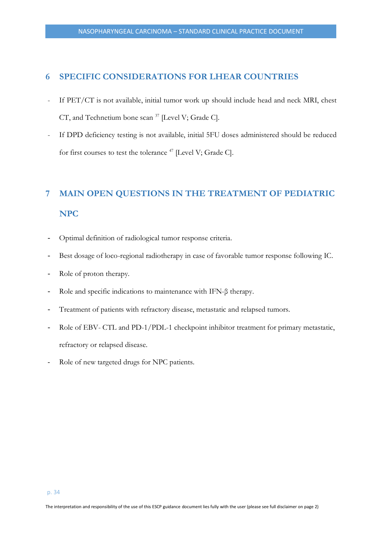# <span id="page-33-0"></span>**6 SPECIFIC CONSIDERATIONS FOR LHEAR COUNTRIES**

- If PET/CT is not available, initial tumor work up should include head and neck MRI, chest CT, and Technetium bone scan <sup>37</sup> [Level V; Grade C].
- If DPD deficiency testing is not available, initial 5FU doses administered should be reduced for first courses to test the tolerance <sup>47</sup> [Level V; Grade C].

# <span id="page-33-1"></span>**7 MAIN OPEN QUESTIONS IN THE TREATMENT OF PEDIATRIC NPC**

- Optimal definition of radiological tumor response criteria.
- Best dosage of loco-regional radiotherapy in case of favorable tumor response following IC.
- Role of proton therapy.
- Role and specific indications to maintenance with IFN-β therapy.
- Treatment of patients with refractory disease, metastatic and relapsed tumors.
- Role of EBV- CTL and PD-1/PDL-1 checkpoint inhibitor treatment for primary metastatic, refractory or relapsed disease.
- Role of new targeted drugs for NPC patients.

The interpretation and responsibility of the use of this ESCP guidance document lies fully with the user (please see full disclaimer on page 2)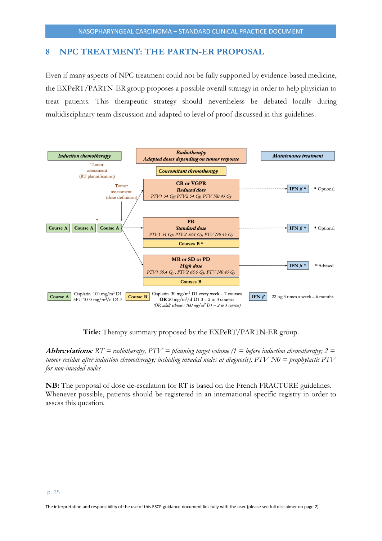# <span id="page-34-0"></span>**8 NPC TREATMENT: THE PARTN-ER PROPOSAL**

Even if many aspects of NPC treatment could not be fully supported by evidence-based medicine, the EXPeRT/PARTN-ER group proposes a possible overall strategy in order to help physician to treat patients. This therapeutic strategy should nevertheless be debated locally during multidisciplinary team discussion and adapted to level of proof discussed in this guidelines.



**Title:** Therapy summary proposed by the EXPeRT/PARTN-ER group.

**Abbreviations**:  $RT =$  radiotherapy,  $PTV =$  planning target volume (1 = before induction chemotherapy; 2 = *tumor residue after induction chemotherapy; including invaded nodes at diagnosis), PTV N0 = prophylactic PTV for non-invaded nodes*

**NB:** The proposal of dose de-escalation for RT is based on the French FRACTURE guidelines. Whenever possible, patients should be registered in an international specific registry in order to assess this question.

The interpretation and responsibility of the use of this ESCP guidance document lies fully with the user (please see full disclaimer on page 2)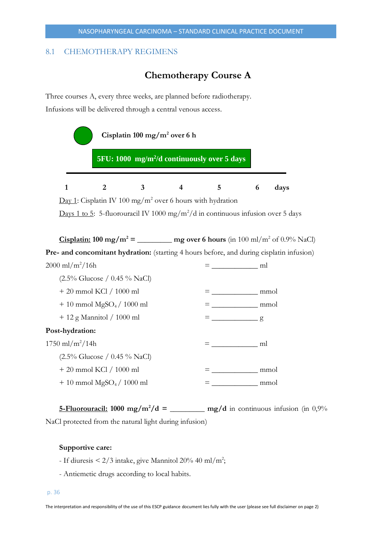# <span id="page-35-0"></span>8.1 CHEMOTHERAPY REGIMENS

# **Chemotherapy Course A**

Three courses A, every three weeks, are planned before radiotherapy. Infusions will be delivered through a central venous access.



**<u>5-Fluorouracil:</u> 1000** mg/m<sup>2</sup>/d = \_\_\_\_\_\_ mg/d in continuous infusion (in 0,9%) NaCl protected from the natural light during infusion)

#### **Supportive care:**

- If diuresis  $\leq 2/3$  intake, give Mannitol 20% 40 ml/m<sup>2</sup>;
- Antiemetic drugs according to local habits.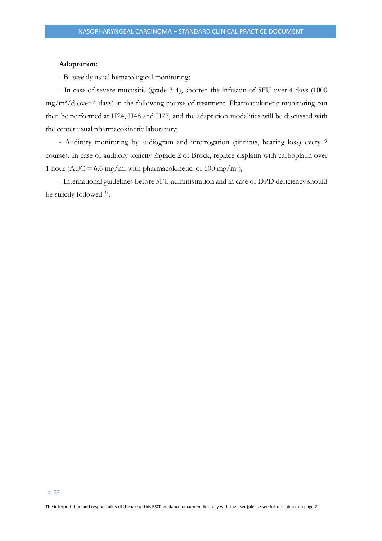#### **Adaptation:**

- Bi-weekly usual hematological monitoring;

- In case of severe mucositis (grade 3-4), shorten the infusion of 5FU over 4 days (1000 mg/m²/d over 4 days) in the following course of treatment. Pharmacokinetic monitoring can then be performed at H24, H48 and H72, and the adaptation modalities will be discussed with the center usual pharmacokinetic laboratory;

- Auditory monitoring by audiogram and interrogation (tinnitus, hearing loss) every 2 courses. In case of auditory toxicity ≥grade 2 of Brock, replace cisplatin with carboplatin over 1 hour (AUC = 6.6 mg/ml with pharmacokinetic, or 600 mg/m<sup>2</sup>);

- International guidelines before 5FU administration and in case of DPD deficiency should be strictly followed <sup>48</sup>.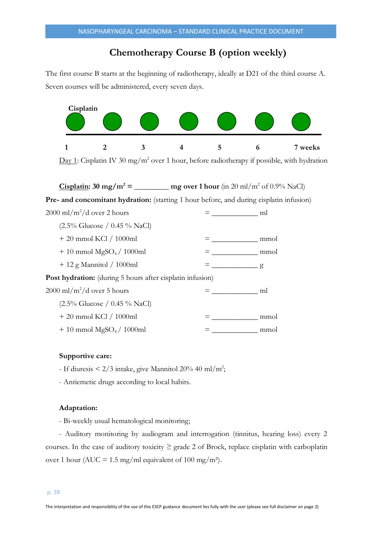# **Chemotherapy Course B (option weekly)**

The first course B starts at the beginning of radiotherapy, ideally at D21 of the third course A. Seven courses will be administered, every seven days.



Day 1: Cisplatin IV 30 mg/m<sup>2</sup> over 1 hour, before radiotherapy if possible, with hydration

**Cisplatin:**  $30 \text{ mg/m}^2 = \text{mg over 1 hour (in 20 m/m}^2 \text{ of } 0.9\% \text{ NaCl})$ 

**Pre- and concomitant hydration:** (starting 1 hour before, and during cisplatin infusion)

| $2000 \text{ ml/m}^2/\text{d}$ over 2 hours                      | ml   |
|------------------------------------------------------------------|------|
| $(2.5\% \text{ Glucose } / 0.45\% \text{ NaCl})$                 |      |
| + 20 mmol KCl / 1000ml                                           | mmol |
| $+10$ mmol MgSO <sub>4</sub> / 1000ml                            | mmol |
| $+12$ g Mannitol / 1000ml                                        | g    |
| <b>Post hydration:</b> (during 5 hours after cisplatin infusion) |      |
| $2000 \text{ ml/m}^2/\text{d}$ over 5 hours                      | ml   |
| $(2.5\% \text{ Glucose } / 0.45\% \text{ NaCl})$                 |      |
| + 20 mmol KCl / 1000ml                                           | mmol |
| $+10$ mmol MgSO <sub>4</sub> / 1000ml                            | mmol |

# **Supportive care:**

- If diuresis  $\leq 2/3$  intake, give Mannitol 20% 40 ml/m<sup>2</sup>;

- Antiemetic drugs according to local habits.

#### **Adaptation:**

- Bi-weekly usual hematological monitoring;

- Auditory monitoring by audiogram and interrogation (tinnitus, hearing loss) every 2 courses. In the case of auditory toxicity  $\geq$  grade 2 of Brock, replace cisplatin with carboplatin over 1 hour (AUC = 1.5 mg/ml equivalent of 100 mg/m<sup>2</sup>).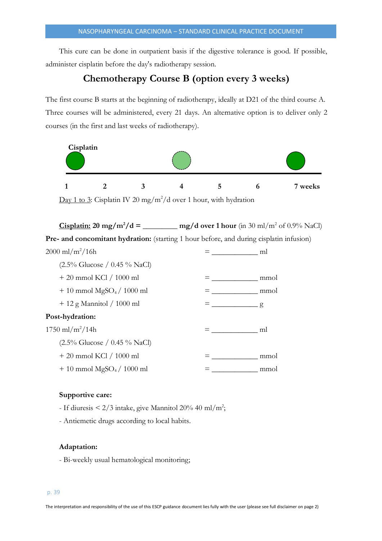This cure can be done in outpatient basis if the digestive tolerance is good. If possible, administer cisplatin before the day's radiotherapy session.

# **Chemotherapy Course B (option every 3 weeks)**

The first course B starts at the beginning of radiotherapy, ideally at D21 of the third course A. Three courses will be administered, every 21 days. An alternative option is to deliver only 2 courses (in the first and last weeks of radiotherapy).



#### **Supportive care:**

- If diuresis  $\leq 2/3$  intake, give Mannitol 20% 40 ml/m<sup>2</sup>;

- Antiemetic drugs according to local habits.

# **Adaptation:**

- Bi-weekly usual hematological monitoring;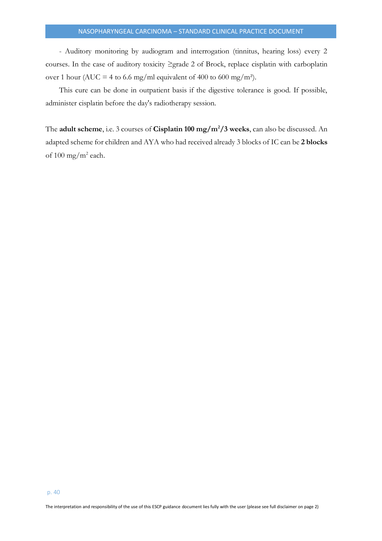- Auditory monitoring by audiogram and interrogation (tinnitus, hearing loss) every 2 courses. In the case of auditory toxicity ≥grade 2 of Brock, replace cisplatin with carboplatin over 1 hour (AUC = 4 to 6.6 mg/ml equivalent of 400 to 600 mg/m<sup>2</sup>).

This cure can be done in outpatient basis if the digestive tolerance is good. If possible, administer cisplatin before the day's radiotherapy session.

The **adult scheme**, i.e. 3 courses of **Cisplatin 100 mg/m<sup>2</sup>/3 weeks**, can also be discussed. An adapted scheme for children and AYA who had received already 3 blocks of IC can be **2 blocks** of  $100 \text{ mg/m}^2$  each.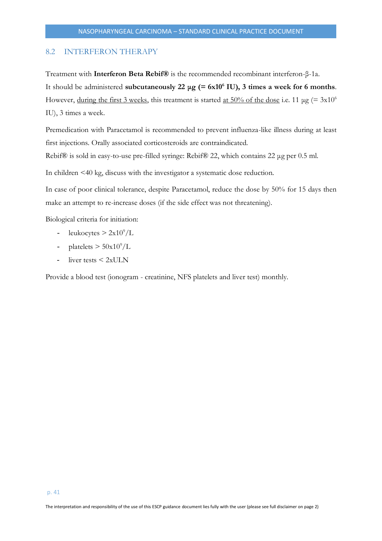# <span id="page-40-0"></span>8.2 INTERFERON THERAPY

Treatment with **Interferon Beta Rebif®** is the recommended recombinant interferon-β-1a. It should be administered **subcutaneously 22 μg (= 6x10<sup>6</sup> IU), 3 times a week for 6 months**. However, during the first 3 weeks, this treatment is started <u>at 50% of the dose</u> i.e. 11  $\mu$ g (= 3x10<sup>6</sup>) IU), 3 times a week.

Premedication with Paracetamol is recommended to prevent influenza-like illness during at least first injections. Orally associated corticosteroids are contraindicated.

Rebif® is sold in easy-to-use pre-filled syringe: Rebif® 22, which contains 22 μg per 0.5 ml.

In children <40 kg, discuss with the investigator a systematic dose reduction.

In case of poor clinical tolerance, despite Paracetamol, reduce the dose by 50% for 15 days then make an attempt to re-increase doses (if the side effect was not threatening).

Biological criteria for initiation:

- leukocytes  $> 2x10^9/L$
- platelets  $> 50x10^9/L$
- liver tests  $\leq 2xULN$

Provide a blood test (ionogram - creatinine, NFS platelets and liver test) monthly.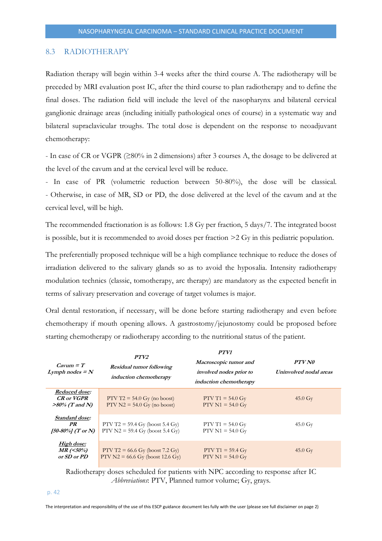#### <span id="page-41-0"></span>8.3 RADIOTHERAPY

Radiation therapy will begin within 3-4 weeks after the third course A. The radiotherapy will be preceded by MRI evaluation post IC, after the third course to plan radiotherapy and to define the final doses. The radiation field will include the level of the nasopharynx and bilateral cervical ganglionic drainage areas (including initially pathological ones of course) in a systematic way and bilateral supraclavicular troughs. The total dose is dependent on the response to neoadjuvant chemotherapy:

- In case of CR or VGPR (≥80% in 2 dimensions) after 3 courses A, the dosage to be delivered at the level of the cavum and at the cervical level will be reduce.

- In case of PR (volumetric reduction between 50-80%), the dose will be classical. - Otherwise, in case of MR, SD or PD, the dose delivered at the level of the cavum and at the cervical level, will be high.

The recommended fractionation is as follows: 1.8 Gy per fraction, 5 days/7. The integrated boost is possible, but it is recommended to avoid doses per fraction >2 Gy in this pediatric population.

The preferentially proposed technique will be a high compliance technique to reduce the doses of irradiation delivered to the salivary glands so as to avoid the hyposalia. Intensity radiotherapy modulation technics (classic, tomotherapy, arc therapy) are mandatory as the expected benefit in terms of salivary preservation and coverage of target volumes is major.

Oral dental restoration, if necessary, will be done before starting radiotherapy and even before chemotherapy if mouth opening allows. A gastrostomy/jejunostomy could be proposed before starting chemotherapy or radiotherapy according to the nutritional status of the patient.

| $Cavum = T$<br>Lymph nodes $=N$                                | PTV2<br><b>Residual tumor following</b><br>induction chemotherapy       | PTV1<br>Macroscopic tumor and<br>involved nodes prior to<br><i>induction chemotherapy</i> | PTV N0<br>Uninvolved nodal areas |
|----------------------------------------------------------------|-------------------------------------------------------------------------|-------------------------------------------------------------------------------------------|----------------------------------|
| Reduced dose:<br><b>CR</b> or <b>VGPR</b><br>$>80\%$ (T and N) | $PTV T2 = 54.0$ Gy (no boost)<br>$PTV N2 = 54.0$ Gy (no boost)          | PTV T1 = $54.0 \text{ Gy}$<br>$PTV N1 = 54.0 Gy$                                          | $45.0 \text{ Gy}$                |
| Standard dose:<br>PR<br>[50-80%] (T or N)                      | PTV T2 = 59.4 Gy (boost 5.4 Gy)<br>$PTV N2 = 59.4 Gy (boost 5.4 Gy)$    | $PTV T1 = 54.0 Gy$<br>$PTV N1 = 54.0 Gy$                                                  | $45.0 \text{ Gy}$                |
| High dose:<br>$MR$ (<50%)<br>or SD or PD                       | $PTV T2 = 66.6$ Gy (boost 7.2 Gy)<br>$PTV N2 = 66.6$ Gy (boost 12.6 Gy) | $PTV T1 = 59.4 Gy$<br>$PTV N1 = 54.0 Gy$                                                  | $45.0 \text{ Gy}$                |

Radiotherapy doses scheduled for patients with NPC according to response after IC *Abbreviations*: PTV, Planned tumor volume; Gy, grays.

#### p. 42

The interpretation and responsibility of the use of this ESCP guidance document lies fully with the user (please see full disclaimer on page 2)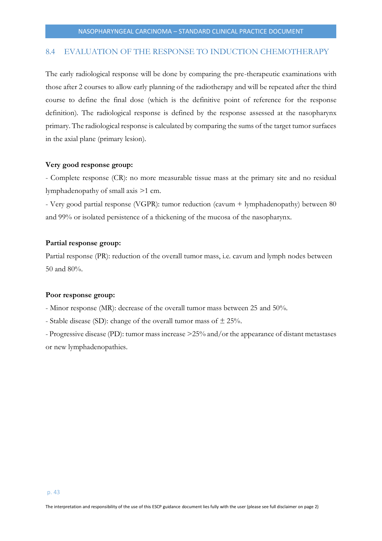# <span id="page-42-0"></span>8.4 EVALUATION OF THE RESPONSE TO INDUCTION CHEMOTHERAPY

The early radiological response will be done by comparing the pre-therapeutic examinations with those after 2 courses to allow early planning of the radiotherapy and will be repeated after the third course to define the final dose (which is the definitive point of reference for the response definition). The radiological response is defined by the response assessed at the nasopharynx primary. The radiological response is calculated by comparing the sums of the target tumor surfaces in the axial plane (primary lesion).

# **Very good response group:**

- Complete response (CR): no more measurable tissue mass at the primary site and no residual lymphadenopathy of small axis >1 cm.

- Very good partial response (VGPR): tumor reduction (cavum + lymphadenopathy) between 80 and 99% or isolated persistence of a thickening of the mucosa of the nasopharynx.

# **Partial response group:**

Partial response (PR): reduction of the overall tumor mass, i.e. cavum and lymph nodes between 50 and 80%.

#### **Poor response group:**

- Minor response (MR): decrease of the overall tumor mass between 25 and 50%.

- Stable disease (SD): change of the overall tumor mass of  $\pm 25\%$ .

- Progressive disease (PD): tumor mass increase >25% and/or the appearance of distant metastases or new lymphadenopathies.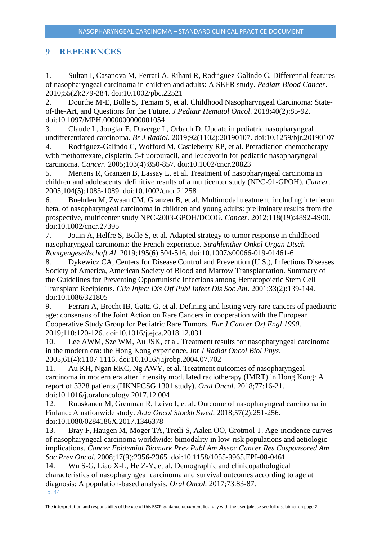# <span id="page-43-0"></span>**9 REFERENCES**

1. Sultan I, Casanova M, Ferrari A, Rihani R, Rodriguez-Galindo C. Differential features of nasopharyngeal carcinoma in children and adults: A SEER study. *Pediatr Blood Cancer*. 2010;55(2):279-284. doi:10.1002/pbc.22521

2. Dourthe M-E, Bolle S, Temam S, et al. Childhood Nasopharyngeal Carcinoma: Stateof-the-Art, and Questions for the Future. *J Pediatr Hematol Oncol*. 2018;40(2):85-92. doi:10.1097/MPH.0000000000001054

3. Claude L, Jouglar E, Duverge L, Orbach D. Update in pediatric nasopharyngeal undifferentiated carcinoma. *Br J Radiol*. 2019;92(1102):20190107. doi:10.1259/bjr.20190107

4. Rodriguez-Galindo C, Wofford M, Castleberry RP, et al. Preradiation chemotherapy with methotrexate, cisplatin, 5-fluorouracil, and leucovorin for pediatric nasopharyngeal carcinoma. *Cancer*. 2005;103(4):850-857. doi:10.1002/cncr.20823

5. Mertens R, Granzen B, Lassay L, et al. Treatment of nasopharyngeal carcinoma in children and adolescents: definitive results of a multicenter study (NPC-91-GPOH). *Cancer*. 2005;104(5):1083-1089. doi:10.1002/cncr.21258

6. Buehrlen M, Zwaan CM, Granzen B, et al. Multimodal treatment, including interferon beta, of nasopharyngeal carcinoma in children and young adults: preliminary results from the prospective, multicenter study NPC-2003-GPOH/DCOG. *Cancer*. 2012;118(19):4892-4900. doi:10.1002/cncr.27395

7. Jouin A, Helfre S, Bolle S, et al. Adapted strategy to tumor response in childhood nasopharyngeal carcinoma: the French experience. *Strahlenther Onkol Organ Dtsch Rontgengesellschaft Al*. 2019;195(6):504-516. doi:10.1007/s00066-019-01461-6

8. Dykewicz CA, Centers for Disease Control and Prevention (U.S.), Infectious Diseases Society of America, American Society of Blood and Marrow Transplantation. Summary of the Guidelines for Preventing Opportunistic Infections among Hematopoietic Stem Cell Transplant Recipients. *Clin Infect Dis Off Publ Infect Dis Soc Am*. 2001;33(2):139-144. doi:10.1086/321805

9. Ferrari A, Brecht IB, Gatta G, et al. Defining and listing very rare cancers of paediatric age: consensus of the Joint Action on Rare Cancers in cooperation with the European Cooperative Study Group for Pediatric Rare Tumors. *Eur J Cancer Oxf Engl 1990*. 2019;110:120-126. doi:10.1016/j.ejca.2018.12.031

10. Lee AWM, Sze WM, Au JSK, et al. Treatment results for nasopharyngeal carcinoma in the modern era: the Hong Kong experience. *Int J Radiat Oncol Biol Phys*. 2005;61(4):1107-1116. doi:10.1016/j.ijrobp.2004.07.702

11. Au KH, Ngan RKC, Ng AWY, et al. Treatment outcomes of nasopharyngeal carcinoma in modern era after intensity modulated radiotherapy (IMRT) in Hong Kong: A report of 3328 patients (HKNPCSG 1301 study). *Oral Oncol*. 2018;77:16-21. doi:10.1016/j.oraloncology.2017.12.004

12. Ruuskanen M, Grenman R, Leivo I, et al. Outcome of nasopharyngeal carcinoma in Finland: A nationwide study. *Acta Oncol Stockh Swed*. 2018;57(2):251-256. doi:10.1080/0284186X.2017.1346378

13. Bray F, Haugen M, Moger TA, Tretli S, Aalen OO, Grotmol T. Age-incidence curves of nasopharyngeal carcinoma worldwide: bimodality in low-risk populations and aetiologic implications. *Cancer Epidemiol Biomark Prev Publ Am Assoc Cancer Res Cosponsored Am Soc Prev Oncol*. 2008;17(9):2356-2365. doi:10.1158/1055-9965.EPI-08-0461

p. 44 14. Wu S-G, Liao X-L, He Z-Y, et al. Demographic and clinicopathological characteristics of nasopharyngeal carcinoma and survival outcomes according to age at diagnosis: A population-based analysis. *Oral Oncol*. 2017;73:83-87.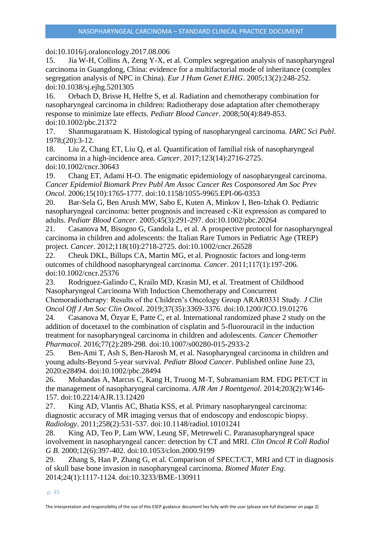doi:10.1016/j.oraloncology.2017.08.006

15. Jia W-H, Collins A, Zeng Y-X, et al. Complex segregation analysis of nasopharyngeal carcinoma in Guangdong, China: evidence for a multifactorial mode of inheritance (complex segregation analysis of NPC in China). *Eur J Hum Genet EJHG*. 2005;13(2):248-252. doi:10.1038/sj.ejhg.5201305

16. Orbach D, Brisse H, Helfre S, et al. Radiation and chemotherapy combination for nasopharyngeal carcinoma in children: Radiotherapy dose adaptation after chemotherapy response to minimize late effects. *Pediatr Blood Cancer*. 2008;50(4):849-853. doi:10.1002/pbc.21372

17. Shanmugaratnam K. Histological typing of nasopharyngeal carcinoma. *IARC Sci Publ*. 1978;(20):3-12.

18. Liu Z, Chang ET, Liu Q, et al. Quantification of familial risk of nasopharyngeal carcinoma in a high-incidence area. *Cancer*. 2017;123(14):2716-2725. doi:10.1002/cncr.30643

19. Chang ET, Adami H-O. The enigmatic epidemiology of nasopharyngeal carcinoma. *Cancer Epidemiol Biomark Prev Publ Am Assoc Cancer Res Cosponsored Am Soc Prev Oncol*. 2006;15(10):1765-1777. doi:10.1158/1055-9965.EPI-06-0353

20. Bar-Sela G, Ben Arush MW, Sabo E, Kuten A, Minkov I, Ben-Izhak O. Pediatric nasopharyngeal carcinoma: better prognosis and increased c-Kit expression as compared to adults. *Pediatr Blood Cancer*. 2005;45(3):291-297. doi:10.1002/pbc.20264

21. Casanova M, Bisogno G, Gandola L, et al. A prospective protocol for nasopharyngeal carcinoma in children and adolescents: the Italian Rare Tumors in Pediatric Age (TREP) project. *Cancer*. 2012;118(10):2718-2725. doi:10.1002/cncr.26528

22. Cheuk DKL, Billups CA, Martin MG, et al. Prognostic factors and long-term outcomes of childhood nasopharyngeal carcinoma. *Cancer*. 2011;117(1):197-206. doi:10.1002/cncr.25376

23. Rodriguez-Galindo C, Krailo MD, Krasin MJ, et al. Treatment of Childhood Nasopharyngeal Carcinoma With Induction Chemotherapy and Concurrent Chemoradiotherapy: Results of the Children's Oncology Group ARAR0331 Study. *J Clin Oncol Off J Am Soc Clin Oncol*. 2019;37(35):3369-3376. doi:10.1200/JCO.19.01276

24. Casanova M, Özyar E, Patte C, et al. International randomized phase 2 study on the addition of docetaxel to the combination of cisplatin and 5-fluorouracil in the induction treatment for nasopharyngeal carcinoma in children and adolescents. *Cancer Chemother Pharmacol*. 2016;77(2):289-298. doi:10.1007/s00280-015-2933-2

25. Ben-Ami T, Ash S, Ben-Harosh M, et al. Nasopharyngeal carcinoma in children and young adults-Beyond 5-year survival. *Pediatr Blood Cancer*. Published online June 23, 2020:e28494. doi:10.1002/pbc.28494

26. Mohandas A, Marcus C, Kang H, Truong M-T, Subramaniam RM. FDG PET/CT in the management of nasopharyngeal carcinoma. *AJR Am J Roentgenol*. 2014;203(2):W146- 157. doi:10.2214/AJR.13.12420

27. King AD, Vlantis AC, Bhatia KSS, et al. Primary nasopharyngeal carcinoma: diagnostic accuracy of MR imaging versus that of endoscopy and endoscopic biopsy. *Radiology*. 2011;258(2):531-537. doi:10.1148/radiol.10101241

28. King AD, Teo P, Lam WW, Leung SF, Metreweli C. Paranasopharyngeal space involvement in nasopharyngeal cancer: detection by CT and MRI. *Clin Oncol R Coll Radiol G B*. 2000;12(6):397-402. doi:10.1053/clon.2000.9199

29. Zhang S, Han P, Zhang G, et al. Comparison of SPECT/CT, MRI and CT in diagnosis of skull base bone invasion in nasopharyngeal carcinoma. *Biomed Mater Eng*. 2014;24(1):1117-1124. doi:10.3233/BME-130911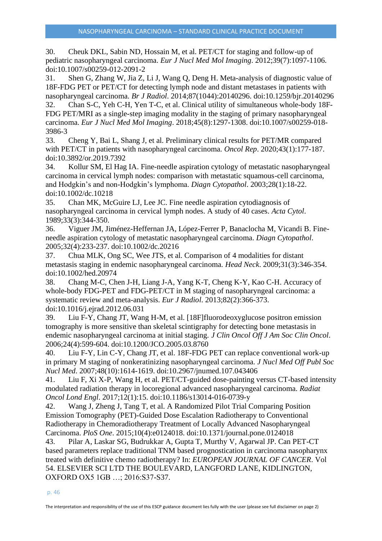30. Cheuk DKL, Sabin ND, Hossain M, et al. PET/CT for staging and follow-up of pediatric nasopharyngeal carcinoma. *Eur J Nucl Med Mol Imaging*. 2012;39(7):1097-1106. doi:10.1007/s00259-012-2091-2

31. Shen G, Zhang W, Jia Z, Li J, Wang Q, Deng H. Meta-analysis of diagnostic value of 18F-FDG PET or PET/CT for detecting lymph node and distant metastases in patients with nasopharyngeal carcinoma. *Br J Radiol*. 2014;87(1044):20140296. doi:10.1259/bjr.20140296

32. Chan S-C, Yeh C-H, Yen T-C, et al. Clinical utility of simultaneous whole-body 18F-FDG PET/MRI as a single-step imaging modality in the staging of primary nasopharyngeal carcinoma. *Eur J Nucl Med Mol Imaging*. 2018;45(8):1297-1308. doi:10.1007/s00259-018- 3986-3

33. Cheng Y, Bai L, Shang J, et al. Preliminary clinical results for PET/MR compared with PET/CT in patients with nasopharyngeal carcinoma. *Oncol Rep*. 2020;43(1):177-187. doi:10.3892/or.2019.7392

34. Kollur SM, El Hag IA. Fine-needle aspiration cytology of metastatic nasopharyngeal carcinoma in cervical lymph nodes: comparison with metastatic squamous-cell carcinoma, and Hodgkin's and non-Hodgkin's lymphoma. *Diagn Cytopathol*. 2003;28(1):18-22. doi:10.1002/dc.10218

35. Chan MK, McGuire LJ, Lee JC. Fine needle aspiration cytodiagnosis of nasopharyngeal carcinoma in cervical lymph nodes. A study of 40 cases. *Acta Cytol*. 1989;33(3):344-350.

36. Viguer JM, Jiménez-Heffernan JA, López-Ferrer P, Banaclocha M, Vicandi B. Fineneedle aspiration cytology of metastatic nasopharyngeal carcinoma. *Diagn Cytopathol*. 2005;32(4):233-237. doi:10.1002/dc.20216

37. Chua MLK, Ong SC, Wee JTS, et al. Comparison of 4 modalities for distant metastasis staging in endemic nasopharyngeal carcinoma. *Head Neck*. 2009;31(3):346-354. doi:10.1002/hed.20974

38. Chang M-C, Chen J-H, Liang J-A, Yang K-T, Cheng K-Y, Kao C-H. Accuracy of whole-body FDG-PET and FDG-PET/CT in M staging of nasopharyngeal carcinoma: a systematic review and meta-analysis. *Eur J Radiol*. 2013;82(2):366-373. doi:10.1016/j.ejrad.2012.06.031

39. Liu F-Y, Chang JT, Wang H-M, et al. [18F]fluorodeoxyglucose positron emission tomography is more sensitive than skeletal scintigraphy for detecting bone metastasis in endemic nasopharyngeal carcinoma at initial staging. *J Clin Oncol Off J Am Soc Clin Oncol*. 2006;24(4):599-604. doi:10.1200/JCO.2005.03.8760

40. Liu F-Y, Lin C-Y, Chang JT, et al. 18F-FDG PET can replace conventional work-up in primary M staging of nonkeratinizing nasopharyngeal carcinoma. *J Nucl Med Off Publ Soc Nucl Med*. 2007;48(10):1614-1619. doi:10.2967/jnumed.107.043406

41. Liu F, Xi X-P, Wang H, et al. PET/CT-guided dose-painting versus CT-based intensity modulated radiation therapy in locoregional advanced nasopharyngeal carcinoma. *Radiat Oncol Lond Engl*. 2017;12(1):15. doi:10.1186/s13014-016-0739-y

42. Wang J, Zheng J, Tang T, et al. A Randomized Pilot Trial Comparing Position Emission Tomography (PET)-Guided Dose Escalation Radiotherapy to Conventional Radiotherapy in Chemoradiotherapy Treatment of Locally Advanced Nasopharyngeal Carcinoma. *PloS One*. 2015;10(4):e0124018. doi:10.1371/journal.pone.0124018

43. Pilar A, Laskar SG, Budrukkar A, Gupta T, Murthy V, Agarwal JP. Can PET-CT based parameters replace traditional TNM based prognostication in carcinoma nasopharynx treated with definitive chemo radiotherapy? In: *EUROPEAN JOURNAL OF CANCER*. Vol 54. ELSEVIER SCI LTD THE BOULEVARD, LANGFORD LANE, KIDLINGTON, OXFORD OX5 1GB …; 2016:S37-S37.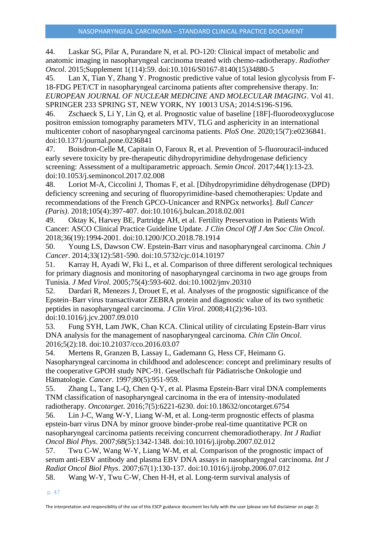44. Laskar SG, Pilar A, Purandare N, et al. PO-120: Clinical impact of metabolic and anatomic imaging in nasopharyngeal carcinoma treated with chemo-radiotherapy. *Radiother Oncol*. 2015;Supplement 1(114):59. doi:10.1016/S0167-8140(15)34880-5

45. Lan X, Tian Y, Zhang Y. Prognostic predictive value of total lesion glycolysis from F-18-FDG PET/CT in nasopharyngeal carcinoma patients after comprehensive therapy. In: *EUROPEAN JOURNAL OF NUCLEAR MEDICINE AND MOLECULAR IMAGING*. Vol 41. SPRINGER 233 SPRING ST, NEW YORK, NY 10013 USA; 2014:S196-S196.

46. Zschaeck S, Li Y, Lin Q, et al. Prognostic value of baseline [18F]-fluorodeoxyglucose positron emission tomography parameters MTV, TLG and asphericity in an international multicenter cohort of nasopharyngeal carcinoma patients. *PloS One*. 2020;15(7):e0236841. doi:10.1371/journal.pone.0236841

47. Boisdron-Celle M, Capitain O, Faroux R, et al. Prevention of 5-fluorouracil-induced early severe toxicity by pre-therapeutic dihydropyrimidine dehydrogenase deficiency screening: Assessment of a multiparametric approach. *Semin Oncol*. 2017;44(1):13-23. doi:10.1053/j.seminoncol.2017.02.008

48. Loriot M-A, Ciccolini J, Thomas F, et al. [Dihydropyrimidine déhydrogenase (DPD) deficiency screening and securing of fluoropyrimidine-based chemotherapies: Update and recommendations of the French GPCO-Unicancer and RNPGx networks]. *Bull Cancer (Paris)*. 2018;105(4):397-407. doi:10.1016/j.bulcan.2018.02.001

49. Oktay K, Harvey BE, Partridge AH, et al. Fertility Preservation in Patients With Cancer: ASCO Clinical Practice Guideline Update. *J Clin Oncol Off J Am Soc Clin Oncol*. 2018;36(19):1994-2001. doi:10.1200/JCO.2018.78.1914

50. Young LS, Dawson CW. Epstein-Barr virus and nasopharyngeal carcinoma. *Chin J Cancer*. 2014;33(12):581-590. doi:10.5732/cjc.014.10197

51. Karray H, Ayadi W, Fki L, et al. Comparison of three different serological techniques for primary diagnosis and monitoring of nasopharyngeal carcinoma in two age groups from Tunisia. *J Med Virol*. 2005;75(4):593-602. doi:10.1002/jmv.20310

52. Dardari R, Menezes J, Drouet E, et al. Analyses of the prognostic significance of the Epstein–Barr virus transactivator ZEBRA protein and diagnostic value of its two synthetic peptides in nasopharyngeal carcinoma. *J Clin Virol*. 2008;41(2):96-103. doi:10.1016/j.jcv.2007.09.010

53. Fung SYH, Lam JWK, Chan KCA. Clinical utility of circulating Epstein-Barr virus DNA analysis for the management of nasopharyngeal carcinoma. *Chin Clin Oncol*. 2016;5(2):18. doi:10.21037/cco.2016.03.07

54. Mertens R, Granzen B, Lassay L, Gademann G, Hess CF, Heimann G. Nasopharyngeal carcinoma in childhood and adolescence: concept and preliminary results of the cooperative GPOH study NPC-91. Gesellschaft für Pädiatrische Onkologie und Hämatologie. *Cancer*. 1997;80(5):951-959.

55. Zhang L, Tang L-Q, Chen Q-Y, et al. Plasma Epstein-Barr viral DNA complements TNM classification of nasopharyngeal carcinoma in the era of intensity-modulated radiotherapy. *Oncotarget*. 2016;7(5):6221-6230. doi:10.18632/oncotarget.6754

56. Lin J-C, Wang W-Y, Liang W-M, et al. Long-term prognostic effects of plasma epstein-barr virus DNA by minor groove binder-probe real-time quantitative PCR on nasopharyngeal carcinoma patients receiving concurrent chemoradiotherapy. *Int J Radiat Oncol Biol Phys*. 2007;68(5):1342-1348. doi:10.1016/j.ijrobp.2007.02.012

57. Twu C-W, Wang W-Y, Liang W-M, et al. Comparison of the prognostic impact of serum anti-EBV antibody and plasma EBV DNA assays in nasopharyngeal carcinoma. *Int J Radiat Oncol Biol Phys*. 2007;67(1):130-137. doi:10.1016/j.ijrobp.2006.07.012 58. Wang W-Y, Twu C-W, Chen H-H, et al. Long-term survival analysis of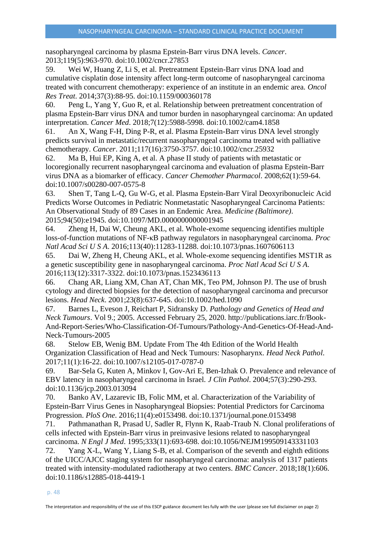nasopharyngeal carcinoma by plasma Epstein-Barr virus DNA levels. *Cancer*. 2013;119(5):963-970. doi:10.1002/cncr.27853

59. Wei W, Huang Z, Li S, et al. Pretreatment Epstein-Barr virus DNA load and cumulative cisplatin dose intensity affect long-term outcome of nasopharyngeal carcinoma treated with concurrent chemotherapy: experience of an institute in an endemic area. *Oncol Res Treat*. 2014;37(3):88-95. doi:10.1159/000360178

60. Peng L, Yang Y, Guo R, et al. Relationship between pretreatment concentration of plasma Epstein-Barr virus DNA and tumor burden in nasopharyngeal carcinoma: An updated interpretation. *Cancer Med*. 2018;7(12):5988-5998. doi:10.1002/cam4.1858

61. An X, Wang F-H, Ding P-R, et al. Plasma Epstein-Barr virus DNA level strongly predicts survival in metastatic/recurrent nasopharyngeal carcinoma treated with palliative chemotherapy. *Cancer*. 2011;117(16):3750-3757. doi:10.1002/cncr.25932

62. Ma B, Hui EP, King A, et al. A phase II study of patients with metastatic or locoregionally recurrent nasopharyngeal carcinoma and evaluation of plasma Epstein-Barr virus DNA as a biomarker of efficacy. *Cancer Chemother Pharmacol*. 2008;62(1):59-64. doi:10.1007/s00280-007-0575-8

63. Shen T, Tang L-Q, Gu W-G, et al. Plasma Epstein-Barr Viral Deoxyribonucleic Acid Predicts Worse Outcomes in Pediatric Nonmetastatic Nasopharyngeal Carcinoma Patients: An Observational Study of 89 Cases in an Endemic Area. *Medicine (Baltimore)*. 2015;94(50):e1945. doi:10.1097/MD.0000000000001945

64. Zheng H, Dai W, Cheung AKL, et al. Whole-exome sequencing identifies multiple loss-of-function mutations of NF-κB pathway regulators in nasopharyngeal carcinoma. *Proc Natl Acad Sci U S A*. 2016;113(40):11283-11288. doi:10.1073/pnas.1607606113

65. Dai W, Zheng H, Cheung AKL, et al. Whole-exome sequencing identifies MST1R as a genetic susceptibility gene in nasopharyngeal carcinoma. *Proc Natl Acad Sci U S A*. 2016;113(12):3317-3322. doi:10.1073/pnas.1523436113

66. Chang AR, Liang XM, Chan AT, Chan MK, Teo PM, Johnson PJ. The use of brush cytology and directed biopsies for the detection of nasopharyngeal carcinoma and precursor lesions. *Head Neck*. 2001;23(8):637-645. doi:10.1002/hed.1090

67. Barnes L, Eveson J, Reichart P, Sidransky D. *Pathology and Genetics of Head and Neck Tumours*. Vol 9.; 2005. Accessed February 25, 2020. http://publications.iarc.fr/Book-And-Report-Series/Who-Classification-Of-Tumours/Pathology-And-Genetics-Of-Head-And-Neck-Tumours-2005

68. Stelow EB, Wenig BM. Update From The 4th Edition of the World Health Organization Classification of Head and Neck Tumours: Nasopharynx. *Head Neck Pathol*. 2017;11(1):16-22. doi:10.1007/s12105-017-0787-0

69. Bar-Sela G, Kuten A, Minkov I, Gov-Ari E, Ben-Izhak O. Prevalence and relevance of EBV latency in nasopharyngeal carcinoma in Israel. *J Clin Pathol*. 2004;57(3):290-293. doi:10.1136/jcp.2003.013094

70. Banko AV, Lazarevic IB, Folic MM, et al. Characterization of the Variability of Epstein-Barr Virus Genes in Nasopharyngeal Biopsies: Potential Predictors for Carcinoma Progression. *PloS One*. 2016;11(4):e0153498. doi:10.1371/journal.pone.0153498

71. Pathmanathan R, Prasad U, Sadler R, Flynn K, Raab-Traub N. Clonal proliferations of cells infected with Epstein-Barr virus in preinvasive lesions related to nasopharyngeal carcinoma. *N Engl J Med*. 1995;333(11):693-698. doi:10.1056/NEJM199509143331103

72. Yang X-L, Wang Y, Liang S-B, et al. Comparison of the seventh and eighth editions of the UICC/AJCC staging system for nasopharyngeal carcinoma: analysis of 1317 patients treated with intensity-modulated radiotherapy at two centers. *BMC Cancer*. 2018;18(1):606. doi:10.1186/s12885-018-4419-1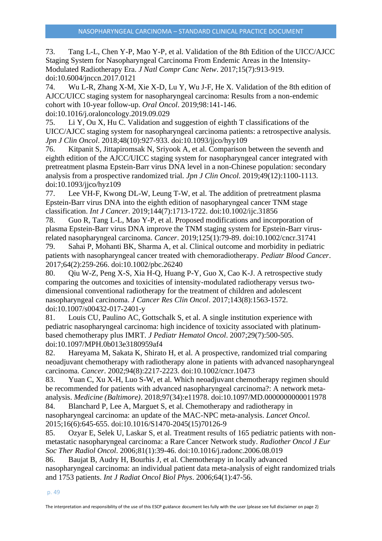73. Tang L-L, Chen Y-P, Mao Y-P, et al. Validation of the 8th Edition of the UICC/AJCC Staging System for Nasopharyngeal Carcinoma From Endemic Areas in the Intensity-Modulated Radiotherapy Era. *J Natl Compr Canc Netw*. 2017;15(7):913-919. doi:10.6004/jnccn.2017.0121

74. Wu L-R, Zhang X-M, Xie X-D, Lu Y, Wu J-F, He X. Validation of the 8th edition of AJCC/UICC staging system for nasopharyngeal carcinoma: Results from a non-endemic cohort with 10-year follow-up. *Oral Oncol*. 2019;98:141-146.

doi:10.1016/j.oraloncology.2019.09.029

75. Li Y, Ou X, Hu C. Validation and suggestion of eighth T classifications of the UICC/AJCC staging system for nasopharyngeal carcinoma patients: a retrospective analysis. *Jpn J Clin Oncol*. 2018;48(10):927-933. doi:10.1093/jjco/hyy109

76. Kitpanit S, Jittapiromsak N, Sriyook A, et al. Comparison between the seventh and eighth edition of the AJCC/UICC staging system for nasopharyngeal cancer integrated with pretreatment plasma Epstein-Barr virus DNA level in a non-Chinese population: secondary analysis from a prospective randomized trial. *Jpn J Clin Oncol*. 2019;49(12):1100-1113. doi:10.1093/jjco/hyz109

77. Lee VH-F, Kwong DL-W, Leung T-W, et al. The addition of pretreatment plasma Epstein-Barr virus DNA into the eighth edition of nasopharyngeal cancer TNM stage classification. *Int J Cancer*. 2019;144(7):1713-1722. doi:10.1002/ijc.31856

78. Guo R, Tang L-L, Mao Y-P, et al. Proposed modifications and incorporation of plasma Epstein-Barr virus DNA improve the TNM staging system for Epstein-Barr virusrelated nasopharyngeal carcinoma. *Cancer*. 2019;125(1):79-89. doi:10.1002/cncr.31741

79. Sahai P, Mohanti BK, Sharma A, et al. Clinical outcome and morbidity in pediatric patients with nasopharyngeal cancer treated with chemoradiotherapy. *Pediatr Blood Cancer*. 2017;64(2):259-266. doi:10.1002/pbc.26240

80. Qiu W-Z, Peng X-S, Xia H-Q, Huang P-Y, Guo X, Cao K-J. A retrospective study comparing the outcomes and toxicities of intensity-modulated radiotherapy versus twodimensional conventional radiotherapy for the treatment of children and adolescent nasopharyngeal carcinoma. *J Cancer Res Clin Oncol*. 2017;143(8):1563-1572. doi:10.1007/s00432-017-2401-y

81. Louis CU, Paulino AC, Gottschalk S, et al. A single institution experience with pediatric nasopharyngeal carcinoma: high incidence of toxicity associated with platinumbased chemotherapy plus IMRT. *J Pediatr Hematol Oncol*. 2007;29(7):500-505. doi:10.1097/MPH.0b013e3180959af4

82. Hareyama M, Sakata K, Shirato H, et al. A prospective, randomized trial comparing neoadjuvant chemotherapy with radiotherapy alone in patients with advanced nasopharyngeal carcinoma. *Cancer*. 2002;94(8):2217-2223. doi:10.1002/cncr.10473

83. Yuan C, Xu X-H, Luo S-W, et al. Which neoadjuvant chemotherapy regimen should be recommended for patients with advanced nasopharyngeal carcinoma?: A network metaanalysis. *Medicine (Baltimore)*. 2018;97(34):e11978. doi:10.1097/MD.0000000000011978

84. Blanchard P, Lee A, Marguet S, et al. Chemotherapy and radiotherapy in nasopharyngeal carcinoma: an update of the MAC-NPC meta-analysis. *Lancet Oncol*. 2015;16(6):645-655. doi:10.1016/S1470-2045(15)70126-9

85. Ozyar E, Selek U, Laskar S, et al. Treatment results of 165 pediatric patients with nonmetastatic nasopharyngeal carcinoma: a Rare Cancer Network study. *Radiother Oncol J Eur Soc Ther Radiol Oncol*. 2006;81(1):39-46. doi:10.1016/j.radonc.2006.08.019

86. Baujat B, Audry H, Bourhis J, et al. Chemotherapy in locally advanced nasopharyngeal carcinoma: an individual patient data meta-analysis of eight randomized trials and 1753 patients. *Int J Radiat Oncol Biol Phys*. 2006;64(1):47-56.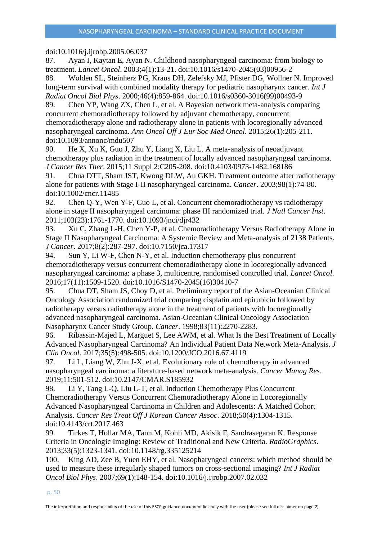# doi:10.1016/j.ijrobp.2005.06.037

87. Ayan I, Kaytan E, Ayan N. Childhood nasopharyngeal carcinoma: from biology to treatment. *Lancet Oncol*. 2003;4(1):13-21. doi:10.1016/s1470-2045(03)00956-2

88. Wolden SL, Steinherz PG, Kraus DH, Zelefsky MJ, Pfister DG, Wollner N. Improved long-term survival with combined modality therapy for pediatric nasopharynx cancer. *Int J Radiat Oncol Biol Phys*. 2000;46(4):859-864. doi:10.1016/s0360-3016(99)00493-9

89. Chen YP, Wang ZX, Chen L, et al. A Bayesian network meta-analysis comparing concurrent chemoradiotherapy followed by adjuvant chemotherapy, concurrent chemoradiotherapy alone and radiotherapy alone in patients with locoregionally advanced nasopharyngeal carcinoma. *Ann Oncol Off J Eur Soc Med Oncol*. 2015;26(1):205-211. doi:10.1093/annonc/mdu507

90. He X, Xu K, Guo J, Zhu Y, Liang X, Liu L. A meta-analysis of neoadjuvant chemotherapy plus radiation in the treatment of locally advanced nasopharyngeal carcinoma. *J Cancer Res Ther*. 2015;11 Suppl 2:C205-208. doi:10.4103/0973-1482.168186

91. Chua DTT, Sham JST, Kwong DLW, Au GKH. Treatment outcome after radiotherapy alone for patients with Stage I-II nasopharyngeal carcinoma. *Cancer*. 2003;98(1):74-80. doi:10.1002/cncr.11485

92. Chen Q-Y, Wen Y-F, Guo L, et al. Concurrent chemoradiotherapy vs radiotherapy alone in stage II nasopharyngeal carcinoma: phase III randomized trial. *J Natl Cancer Inst*. 2011;103(23):1761-1770. doi:10.1093/jnci/djr432

93. Xu C, Zhang L-H, Chen Y-P, et al. Chemoradiotherapy Versus Radiotherapy Alone in Stage II Nasopharyngeal Carcinoma: A Systemic Review and Meta-analysis of 2138 Patients. *J Cancer*. 2017;8(2):287-297. doi:10.7150/jca.17317

94. Sun Y, Li W-F, Chen N-Y, et al. Induction chemotherapy plus concurrent chemoradiotherapy versus concurrent chemoradiotherapy alone in locoregionally advanced nasopharyngeal carcinoma: a phase 3, multicentre, randomised controlled trial. *Lancet Oncol*. 2016;17(11):1509-1520. doi:10.1016/S1470-2045(16)30410-7

95. Chua DT, Sham JS, Choy D, et al. Preliminary report of the Asian-Oceanian Clinical Oncology Association randomized trial comparing cisplatin and epirubicin followed by radiotherapy versus radiotherapy alone in the treatment of patients with locoregionally advanced nasopharyngeal carcinoma. Asian-Oceanian Clinical Oncology Association Nasopharynx Cancer Study Group. *Cancer*. 1998;83(11):2270-2283.

96. Ribassin-Majed L, Marguet S, Lee AWM, et al. What Is the Best Treatment of Locally Advanced Nasopharyngeal Carcinoma? An Individual Patient Data Network Meta-Analysis. *J Clin Oncol*. 2017;35(5):498-505. doi:10.1200/JCO.2016.67.4119

97. Li L, Liang W, Zhu J-X, et al. Evolutionary role of chemotherapy in advanced nasopharyngeal carcinoma: a literature-based network meta-analysis. *Cancer Manag Res*. 2019;11:501-512. doi:10.2147/CMAR.S185932

98. Li Y, Tang L-Q, Liu L-T, et al. Induction Chemotherapy Plus Concurrent Chemoradiotherapy Versus Concurrent Chemoradiotherapy Alone in Locoregionally Advanced Nasopharyngeal Carcinoma in Children and Adolescents: A Matched Cohort Analysis. *Cancer Res Treat Off J Korean Cancer Assoc*. 2018;50(4):1304-1315. doi:10.4143/crt.2017.463

99. Tirkes T, Hollar MA, Tann M, Kohli MD, Akisik F, Sandrasegaran K. Response Criteria in Oncologic Imaging: Review of Traditional and New Criteria. *RadioGraphics*. 2013;33(5):1323-1341. doi:10.1148/rg.335125214

100. King AD, Zee B, Yuen EHY, et al. Nasopharyngeal cancers: which method should be used to measure these irregularly shaped tumors on cross-sectional imaging? *Int J Radiat Oncol Biol Phys*. 2007;69(1):148-154. doi:10.1016/j.ijrobp.2007.02.032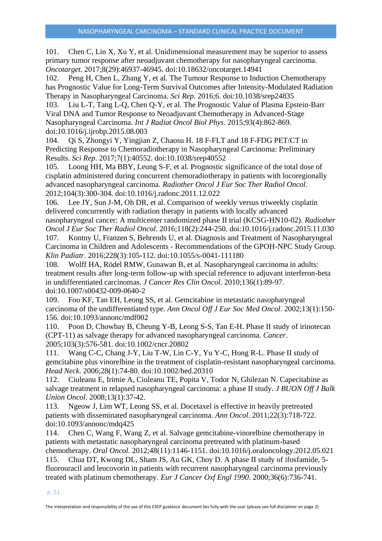101. Chen C, Lin X, Xu Y, et al. Unidimensional measurement may be superior to assess primary tumor response after neoadjuvant chemotherapy for nasopharyngeal carcinoma. *Oncotarget*. 2017;8(29):46937-46945. doi:10.18632/oncotarget.14941

102. Peng H, Chen L, Zhang Y, et al. The Tumour Response to Induction Chemotherapy has Prognostic Value for Long-Term Survival Outcomes after Intensity-Modulated Radiation Therapy in Nasopharyngeal Carcinoma. *Sci Rep*. 2016;6. doi:10.1038/srep24835

103. Liu L-T, Tang L-Q, Chen Q-Y, et al. The Prognostic Value of Plasma Epstein-Barr Viral DNA and Tumor Response to Neoadjuvant Chemotherapy in Advanced-Stage Nasopharyngeal Carcinoma. *Int J Radiat Oncol Biol Phys*. 2015;93(4):862-869. doi:10.1016/j.ijrobp.2015.08.003

104. Qi S, Zhongyi Y, Yingjian Z, Chaosu H. 18 F-FLT and 18 F-FDG PET/CT in Predicting Response to Chemoradiotherapy in Nasopharyngeal Carcinoma: Preliminary Results. *Sci Rep*. 2017;7(1):40552. doi:10.1038/srep40552

105. Loong HH, Ma BBY, Leung S-F, et al. Prognostic significance of the total dose of cisplatin administered during concurrent chemoradiotherapy in patients with locoregionally advanced nasopharyngeal carcinoma. *Radiother Oncol J Eur Soc Ther Radiol Oncol*. 2012;104(3):300-304. doi:10.1016/j.radonc.2011.12.022

106. Lee JY, Sun J-M, Oh DR, et al. Comparison of weekly versus triweekly cisplatin delivered concurrently with radiation therapy in patients with locally advanced

nasopharyngeal cancer: A multicenter randomized phase II trial (KCSG-HN10-02). *Radiother Oncol J Eur Soc Ther Radiol Oncol*. 2016;118(2):244-250. doi:10.1016/j.radonc.2015.11.030 107. Kontny U, Franzen S, Behrends U, et al. Diagnosis and Treatment of Nasopharyngeal Carcinoma in Children and Adolescents - Recommendations of the GPOH-NPC Study Group. *Klin Padiatr*. 2016;228(3):105-112. doi:10.1055/s-0041-111180

108. Wolff HA, Rödel RMW, Gunawan B, et al. Nasopharyngeal carcinoma in adults: treatment results after long-term follow-up with special reference to adjuvant interferon-beta in undifferentiated carcinomas. *J Cancer Res Clin Oncol*. 2010;136(1):89-97. doi:10.1007/s00432-009-0640-2

109. Foo KF, Tan EH, Leong SS, et al. Gemcitabine in metastatic nasopharyngeal carcinoma of the undifferentiated type. *Ann Oncol Off J Eur Soc Med Oncol*. 2002;13(1):150- 156. doi:10.1093/annonc/mdf002

110. Poon D, Chowbay B, Cheung Y-B, Leong S-S, Tan E-H. Phase II study of irinotecan (CPT-11) as salvage therapy for advanced nasopharyngeal carcinoma. *Cancer*. 2005;103(3):576-581. doi:10.1002/cncr.20802

111. Wang C-C, Chang J-Y, Liu T-W, Lin C-Y, Yu Y-C, Hong R-L. Phase II study of gemcitabine plus vinorelbine in the treatment of cisplatin-resistant nasopharyngeal carcinoma. *Head Neck*. 2006;28(1):74-80. doi:10.1002/hed.20310

112. Ciuleanu E, Irimie A, Ciuleanu TE, Popita V, Todor N, Ghilezan N. Capecitabine as salvage treatment in relapsed nasopharyngeal carcinoma: a phase II study. *J BUON Off J Balk Union Oncol*. 2008;13(1):37-42.

113. Ngeow J, Lim WT, Leong SS, et al. Docetaxel is effective in heavily pretreated patients with disseminated nasopharyngeal carcinoma. *Ann Oncol*. 2011;22(3):718-722. doi:10.1093/annonc/mdq425

114. Chen C, Wang F, Wang Z, et al. Salvage gemcitabine-vinorelbine chemotherapy in patients with metastatic nasopharyngeal carcinoma pretreated with platinum-based chemotherapy. *Oral Oncol*. 2012;48(11):1146-1151. doi:10.1016/j.oraloncology.2012.05.021 115. Chua DT, Kwong DL, Sham JS, Au GK, Choy D. A phase II study of ifosfamide, 5 fluorouracil and leucovorin in patients with recurrent nasopharyngeal carcinoma previously treated with platinum chemotherapy. *Eur J Cancer Oxf Engl 1990*. 2000;36(6):736-741.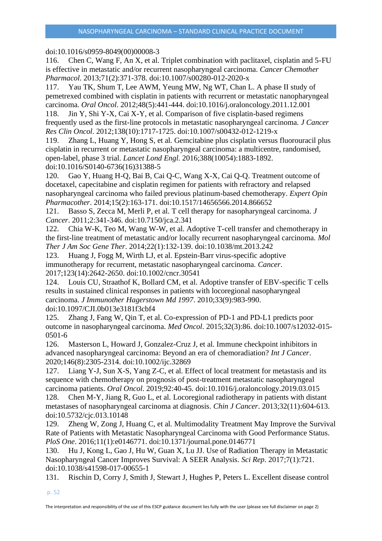# doi:10.1016/s0959-8049(00)00008-3

116. Chen C, Wang F, An X, et al. Triplet combination with paclitaxel, cisplatin and 5-FU is effective in metastatic and/or recurrent nasopharyngeal carcinoma. *Cancer Chemother Pharmacol*. 2013;71(2):371-378. doi:10.1007/s00280-012-2020-x

117. Yau TK, Shum T, Lee AWM, Yeung MW, Ng WT, Chan L. A phase II study of pemetrexed combined with cisplatin in patients with recurrent or metastatic nanopharyngeal carcinoma. *Oral Oncol*. 2012;48(5):441-444. doi:10.1016/j.oraloncology.2011.12.001

118. Jin Y, Shi Y-X, Cai X-Y, et al. Comparison of five cisplatin-based regimens frequently used as the first-line protocols in metastatic nasopharyngeal carcinoma. *J Cancer Res Clin Oncol*. 2012;138(10):1717-1725. doi:10.1007/s00432-012-1219-x

119. Zhang L, Huang Y, Hong S, et al. Gemcitabine plus cisplatin versus fluorouracil plus cisplatin in recurrent or metastatic nasopharyngeal carcinoma: a multicentre, randomised, open-label, phase 3 trial. *Lancet Lond Engl*. 2016;388(10054):1883-1892. doi:10.1016/S0140-6736(16)31388-5

120. Gao Y, Huang H-Q, Bai B, Cai Q-C, Wang X-X, Cai Q-Q. Treatment outcome of docetaxel, capecitabine and cisplatin regimen for patients with refractory and relapsed nasopharyngeal carcinoma who failed previous platinum-based chemotherapy. *Expert Opin Pharmacother*. 2014;15(2):163-171. doi:10.1517/14656566.2014.866652

121. Basso S, Zecca M, Merli P, et al. T cell therapy for nasopharyngeal carcinoma. *J Cancer*. 2011;2:341-346. doi:10.7150/jca.2.341

122. Chia W-K, Teo M, Wang W-W, et al. Adoptive T-cell transfer and chemotherapy in the first-line treatment of metastatic and/or locally recurrent nasopharyngeal carcinoma. *Mol Ther J Am Soc Gene Ther*. 2014;22(1):132-139. doi:10.1038/mt.2013.242

123. Huang J, Fogg M, Wirth LJ, et al. Epstein-Barr virus-specific adoptive immunotherapy for recurrent, metastatic nasopharyngeal carcinoma. *Cancer*. 2017;123(14):2642-2650. doi:10.1002/cncr.30541

124. Louis CU, Straathof K, Bollard CM, et al. Adoptive transfer of EBV-specific T cells results in sustained clinical responses in patients with locoregional nasopharyngeal carcinoma. *J Immunother Hagerstown Md 1997*. 2010;33(9):983-990. doi:10.1097/CJI.0b013e3181f3cbf4

125. Zhang J, Fang W, Qin T, et al. Co-expression of PD-1 and PD-L1 predicts poor outcome in nasopharyngeal carcinoma. *Med Oncol*. 2015;32(3):86. doi:10.1007/s12032-015- 0501-6

126. Masterson L, Howard J, Gonzalez-Cruz J, et al. Immune checkpoint inhibitors in advanced nasopharyngeal carcinoma: Beyond an era of chemoradiation? *Int J Cancer*. 2020;146(8):2305-2314. doi:10.1002/ijc.32869

127. Liang Y-J, Sun X-S, Yang Z-C, et al. Effect of local treatment for metastasis and its sequence with chemotherapy on prognosis of post-treatment metastatic nasopharyngeal carcinoma patients. *Oral Oncol*. 2019;92:40-45. doi:10.1016/j.oraloncology.2019.03.015

128. Chen M-Y, Jiang R, Guo L, et al. Locoregional radiotherapy in patients with distant metastases of nasopharyngeal carcinoma at diagnosis. *Chin J Cancer*. 2013;32(11):604-613. doi:10.5732/cjc.013.10148

129. Zheng W, Zong J, Huang C, et al. Multimodality Treatment May Improve the Survival Rate of Patients with Metastatic Nasopharyngeal Carcinoma with Good Performance Status. *PloS One*. 2016;11(1):e0146771. doi:10.1371/journal.pone.0146771

130. Hu J, Kong L, Gao J, Hu W, Guan X, Lu JJ. Use of Radiation Therapy in Metastatic Nasopharyngeal Cancer Improves Survival: A SEER Analysis. *Sci Rep*. 2017;7(1):721. doi:10.1038/s41598-017-00655-1

131. Rischin D, Corry J, Smith J, Stewart J, Hughes P, Peters L. Excellent disease control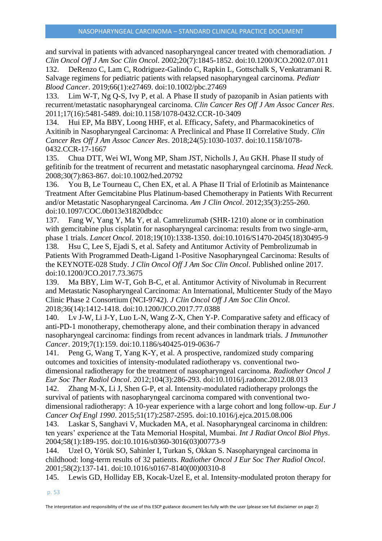and survival in patients with advanced nasopharyngeal cancer treated with chemoradiation. *J Clin Oncol Off J Am Soc Clin Oncol*. 2002;20(7):1845-1852. doi:10.1200/JCO.2002.07.011

132. DeRenzo C, Lam C, Rodriguez-Galindo C, Rapkin L, Gottschalk S, Venkatramani R. Salvage regimens for pediatric patients with relapsed nasopharyngeal carcinoma. *Pediatr Blood Cancer*. 2019;66(1):e27469. doi:10.1002/pbc.27469

133. Lim W-T, Ng Q-S, Ivy P, et al. A Phase II study of pazopanib in Asian patients with recurrent/metastatic nasopharyngeal carcinoma. *Clin Cancer Res Off J Am Assoc Cancer Res*. 2011;17(16):5481-5489. doi:10.1158/1078-0432.CCR-10-3409

134. Hui EP, Ma BBY, Loong HHF, et al. Efficacy, Safety, and Pharmacokinetics of Axitinib in Nasopharyngeal Carcinoma: A Preclinical and Phase II Correlative Study. *Clin Cancer Res Off J Am Assoc Cancer Res*. 2018;24(5):1030-1037. doi:10.1158/1078- 0432.CCR-17-1667

135. Chua DTT, Wei WI, Wong MP, Sham JST, Nicholls J, Au GKH. Phase II study of gefitinib for the treatment of recurrent and metastatic nasopharyngeal carcinoma. *Head Neck*. 2008;30(7):863-867. doi:10.1002/hed.20792

136. You B, Le Tourneau C, Chen EX, et al. A Phase II Trial of Erlotinib as Maintenance Treatment After Gemcitabine Plus Platinum-based Chemotherapy in Patients With Recurrent and/or Metastatic Nasopharyngeal Carcinoma. *Am J Clin Oncol*. 2012;35(3):255-260. doi:10.1097/COC.0b013e31820dbdcc

137. Fang W, Yang Y, Ma Y, et al. Camrelizumab (SHR-1210) alone or in combination with gemcitabine plus cisplatin for nasopharyngeal carcinoma: results from two single-arm, phase 1 trials. *Lancet Oncol*. 2018;19(10):1338-1350. doi:10.1016/S1470-2045(18)30495-9

138. Hsu C, Lee S, Ejadi S, et al. Safety and Antitumor Activity of Pembrolizumab in Patients With Programmed Death-Ligand 1-Positive Nasopharyngeal Carcinoma: Results of the KEYNOTE-028 Study. *J Clin Oncol Off J Am Soc Clin Oncol*. Published online 2017. doi:10.1200/JCO.2017.73.3675

139. Ma BBY, Lim W-T, Goh B-C, et al. Antitumor Activity of Nivolumab in Recurrent and Metastatic Nasopharyngeal Carcinoma: An International, Multicenter Study of the Mayo Clinic Phase 2 Consortium (NCI-9742). *J Clin Oncol Off J Am Soc Clin Oncol*. 2018;36(14):1412-1418. doi:10.1200/JCO.2017.77.0388

140. Lv J-W, Li J-Y, Luo L-N, Wang Z-X, Chen Y-P. Comparative safety and efficacy of anti-PD-1 monotherapy, chemotherapy alone, and their combination therapy in advanced nasopharyngeal carcinoma: findings from recent advances in landmark trials. *J Immunother Cancer*. 2019;7(1):159. doi:10.1186/s40425-019-0636-7

141. Peng G, Wang T, Yang K-Y, et al. A prospective, randomized study comparing outcomes and toxicities of intensity-modulated radiotherapy vs. conventional twodimensional radiotherapy for the treatment of nasopharyngeal carcinoma. *Radiother Oncol J Eur Soc Ther Radiol Oncol*. 2012;104(3):286-293. doi:10.1016/j.radonc.2012.08.013

142. Zhang M-X, Li J, Shen G-P, et al. Intensity-modulated radiotherapy prolongs the survival of patients with nasopharyngeal carcinoma compared with conventional twodimensional radiotherapy: A 10-year experience with a large cohort and long follow-up. *Eur J Cancer Oxf Engl 1990*. 2015;51(17):2587-2595. doi:10.1016/j.ejca.2015.08.006

143. Laskar S, Sanghavi V, Muckaden MA, et al. Nasopharyngeal carcinoma in children: ten years' experience at the Tata Memorial Hospital, Mumbai. *Int J Radiat Oncol Biol Phys*. 2004;58(1):189-195. doi:10.1016/s0360-3016(03)00773-9

144. Uzel O, Yörük SO, Sahinler I, Turkan S, Okkan S. Nasopharyngeal carcinoma in childhood: long-term results of 32 patients. *Radiother Oncol J Eur Soc Ther Radiol Oncol*. 2001;58(2):137-141. doi:10.1016/s0167-8140(00)00310-8

145. Lewis GD, Holliday EB, Kocak-Uzel E, et al. Intensity-modulated proton therapy for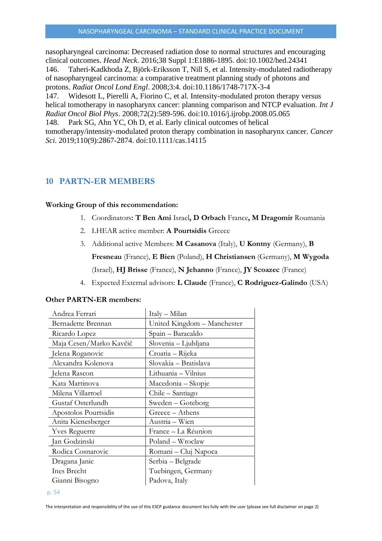nasopharyngeal carcinoma: Decreased radiation dose to normal structures and encouraging clinical outcomes. *Head Neck*. 2016;38 Suppl 1:E1886-1895. doi:10.1002/hed.24341 146. Taheri-Kadkhoda Z, Björk-Eriksson T, Nill S, et al. Intensity-modulated radiotherapy of nasopharyngeal carcinoma: a comparative treatment planning study of photons and protons. *Radiat Oncol Lond Engl*. 2008;3:4. doi:10.1186/1748-717X-3-4 147. Widesott L, Pierelli A, Fiorino C, et al. Intensity-modulated proton therapy versus helical tomotherapy in nasopharynx cancer: planning comparison and NTCP evaluation. *Int J Radiat Oncol Biol Phys*. 2008;72(2):589-596. doi:10.1016/j.ijrobp.2008.05.065 148. Park SG, Ahn YC, Oh D, et al. Early clinical outcomes of helical tomotherapy/intensity-modulated proton therapy combination in nasopharynx cancer. *Cancer Sci*. 2019;110(9):2867-2874. doi:10.1111/cas.14115

# <span id="page-53-0"></span>**10 PARTN-ER MEMBERS**

# **Working Group of this recommendation:**

- 1. Coordinators**: T Ben Ami** Israel**, D Orbach** France**, M Dragomir** Roumania
- 2. LHEAR active member: **A Pourtsidis** Greece
- 3. Additional active Members: **M Casanova** (Italy), **U Kontny** (Germany), **B Fresneau** (France), **E Bien** (Poland), **H Christiansen** (Germany), **M Wygoda** (Israel), **HJ Brisse** (France), **N Jehanno** (France), **JY Scoazec** (France)
- 4. Expected External advisors: **L Claude** (France), **C Rodriguez-Galindo** (USA)

| Andrea Ferrari          | Italy - Milan               |
|-------------------------|-----------------------------|
| Bernadette Brennan      | United Kingdom - Manchester |
| Ricardo Lopez           | Spain – Baracaldo           |
| Maja Cesen/Marko Kavčič | Slovenia - Ljubljana        |
| Jelena Roganovic        | Croatia - Rijeka            |
| Alexandra Kolenova      | Slovakia – Bratislava       |
| Jelena Rascon           | Lithuania - Vilnius         |
| Kata Martinova          | Macedonia – Skopje          |
| Milena Villarroel       | Chile – Santiago            |
| Gustaf Osterlundh       | Sweden – Goteborg           |
| Apostolos Pourtsidis    | Greece – Athens             |
| Anita Kienesberger      | Austria - Wien              |
| <b>Yves Reguerre</b>    | France - La Réunion         |
| Jan Godzinski           | Poland – Wroclaw            |
| Rodica Cosnarovic       | Romani – Cluj Napoca        |
| Dragana Janic           | Serbia – Belgrade           |
| Ines Brecht             | Tuebingen, Germany          |
| Gianni Bisogno          | Padova, Italy               |

# **Other PARTN-ER members:**